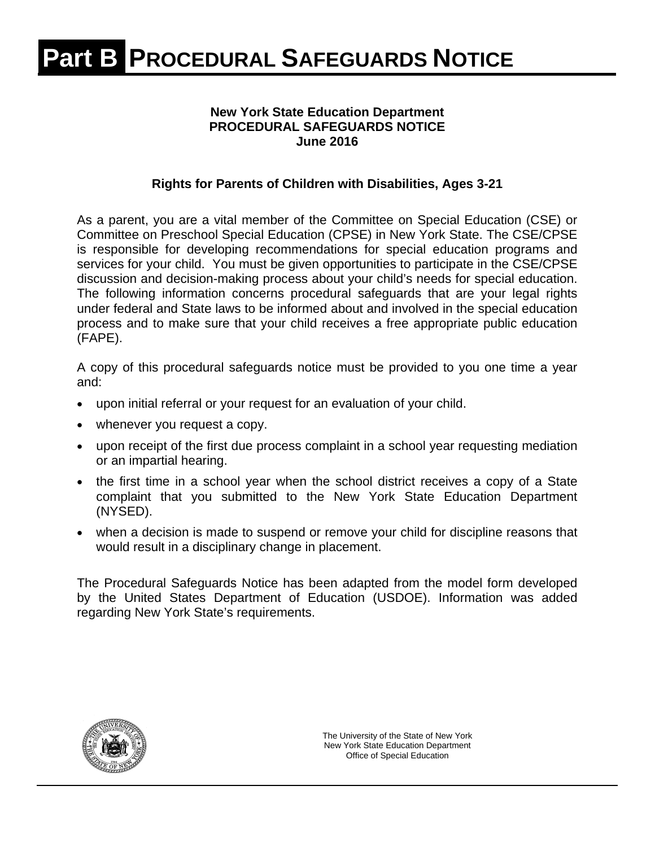### **New York State Education Department PROCEDURAL SAFEGUARDS NOTICE June 2016**

### **Rights for Parents of Children with Disabilities, Ages 3-21**

As a parent, you are a vital member of the Committee on Special Education (CSE) or Committee on Preschool Special Education (CPSE) in New York State. The CSE/CPSE is responsible for developing recommendations for special education programs and services for your child. You must be given opportunities to participate in the CSE/CPSE discussion and decision-making process about your child's needs for special education. The following information concerns procedural safeguards that are your legal rights under federal and State laws to be informed about and involved in the special education process and to make sure that your child receives a free appropriate public education (FAPE).

A copy of this procedural safeguards notice must be provided to you one time a year and:

- upon initial referral or your request for an evaluation of your child.
- whenever you request a copy.
- upon receipt of the first due process complaint in a school year requesting mediation or an impartial hearing.
- the first time in a school year when the school district receives a copy of a State complaint that you submitted to the New York State Education Department (NYSED).
- when a decision is made to suspend or remove your child for discipline reasons that would result in a disciplinary change in placement.

The Procedural Safeguards Notice has been adapted from the model form developed by the United States Department of Education (USDOE). Information was added regarding New York State's requirements.

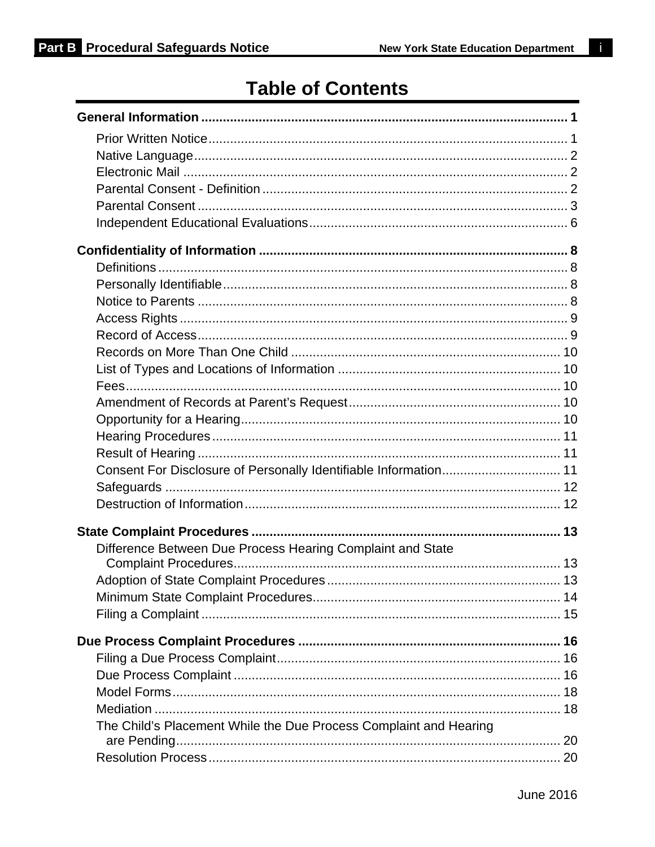# **Table of Contents**

| Consent For Disclosure of Personally Identifiable Information 11  |  |
|-------------------------------------------------------------------|--|
|                                                                   |  |
|                                                                   |  |
|                                                                   |  |
| Difference Between Due Process Hearing Complaint and State        |  |
|                                                                   |  |
|                                                                   |  |
|                                                                   |  |
|                                                                   |  |
|                                                                   |  |
|                                                                   |  |
|                                                                   |  |
|                                                                   |  |
|                                                                   |  |
| The Child's Placement While the Due Process Complaint and Hearing |  |
|                                                                   |  |

i.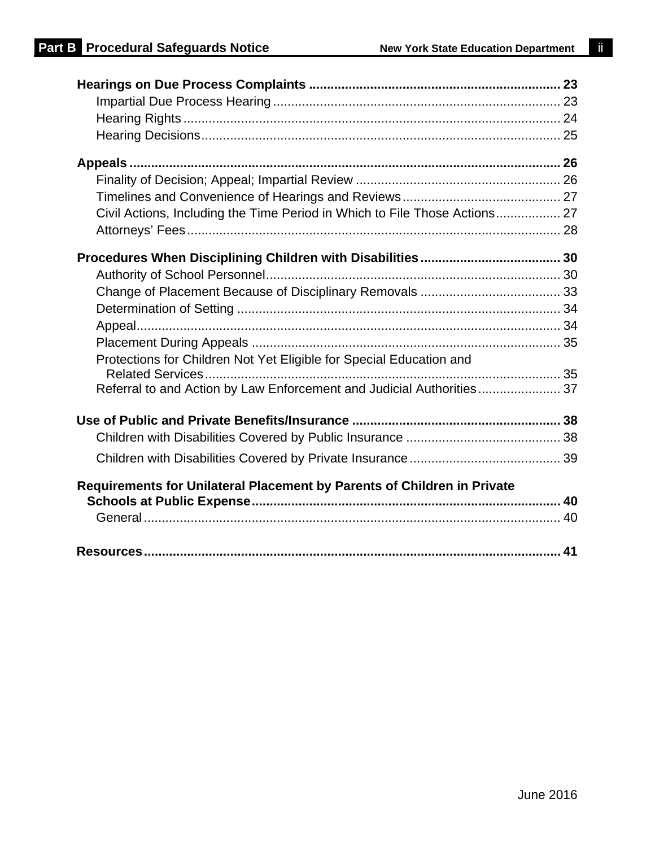| Protections for Children Not Yet Eligible for Special Education and     |  |
|-------------------------------------------------------------------------|--|
|                                                                         |  |
| Referral to and Action by Law Enforcement and Judicial Authorities 37   |  |
|                                                                         |  |
|                                                                         |  |
|                                                                         |  |
|                                                                         |  |
| Requirements for Unilateral Placement by Parents of Children in Private |  |
|                                                                         |  |
|                                                                         |  |
|                                                                         |  |
|                                                                         |  |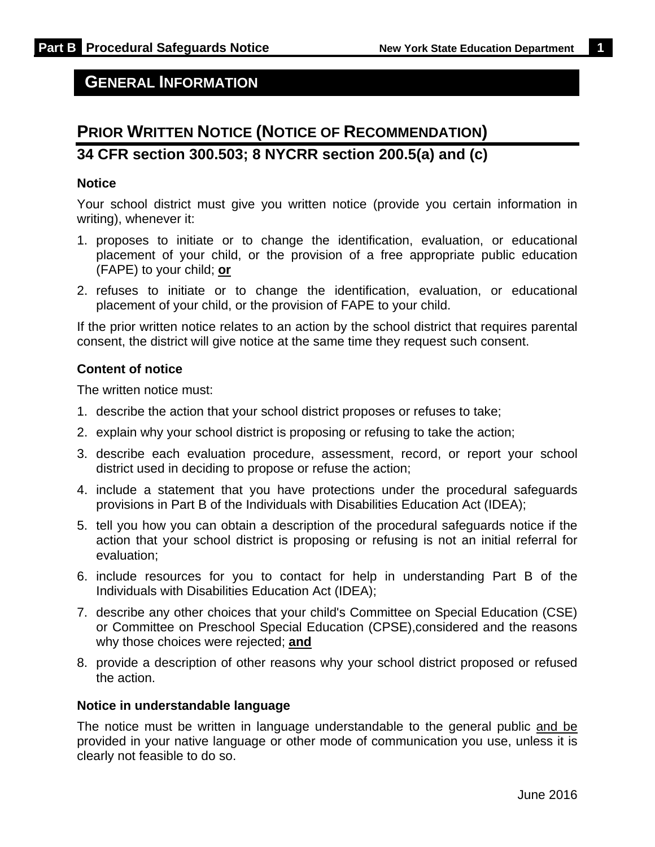### **GENERAL INFORMATION**

# **PRIOR WRITTEN NOTICE (NOTICE OF RECOMMENDATION) 34 CFR section 300.503; 8 NYCRR section 200.5(a) and (c)**

#### **Notice**

Your school district must give you written notice (provide you certain information in writing), whenever it:

- 1. proposes to initiate or to change the identification, evaluation, or educational placement of your child, or the provision of a free appropriate public education (FAPE) to your child; **or**
- 2. refuses to initiate or to change the identification, evaluation, or educational placement of your child, or the provision of FAPE to your child.

If the prior written notice relates to an action by the school district that requires parental consent, the district will give notice at the same time they request such consent.

#### **Content of notice**

The written notice must:

- 1. describe the action that your school district proposes or refuses to take;
- 2. explain why your school district is proposing or refusing to take the action;
- 3. describe each evaluation procedure, assessment, record, or report your school district used in deciding to propose or refuse the action;
- 4. include a statement that you have protections under the procedural safeguards provisions in Part B of the Individuals with Disabilities Education Act (IDEA);
- 5. tell you how you can obtain a description of the procedural safeguards notice if the action that your school district is proposing or refusing is not an initial referral for evaluation;
- 6. include resources for you to contact for help in understanding Part B of the Individuals with Disabilities Education Act (IDEA);
- 7. describe any other choices that your child's Committee on Special Education (CSE) or Committee on Preschool Special Education (CPSE),considered and the reasons why those choices were rejected; **and**
- 8. provide a description of other reasons why your school district proposed or refused the action.

#### **Notice in understandable language**

The notice must be written in language understandable to the general public and be provided in your native language or other mode of communication you use, unless it is clearly not feasible to do so.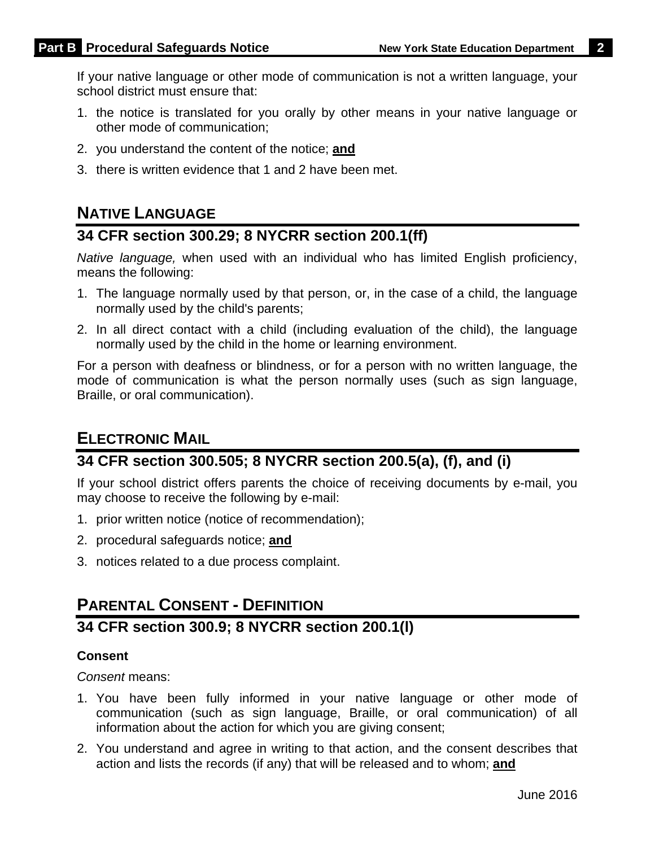If your native language or other mode of communication is not a written language, your school district must ensure that:

- 1. the notice is translated for you orally by other means in your native language or other mode of communication;
- 2. you understand the content of the notice; **and**
- 3. there is written evidence that 1 and 2 have been met.

# **NATIVE LANGUAGE**

### **34 CFR section 300.29; 8 NYCRR section 200.1(ff)**

*Native language,* when used with an individual who has limited English proficiency, means the following:

- 1. The language normally used by that person, or, in the case of a child, the language normally used by the child's parents;
- 2. In all direct contact with a child (including evaluation of the child), the language normally used by the child in the home or learning environment.

For a person with deafness or blindness, or for a person with no written language, the mode of communication is what the person normally uses (such as sign language, Braille, or oral communication).

## **ELECTRONIC MAIL**

# **34 CFR section 300.505; 8 NYCRR section 200.5(a), (f), and (i)**

If your school district offers parents the choice of receiving documents by e-mail, you may choose to receive the following by e-mail:

- 1. prior written notice (notice of recommendation);
- 2. procedural safeguards notice; **and**
- 3. notices related to a due process complaint.

## **PARENTAL CONSENT - DEFINITION**

# **34 CFR section 300.9; 8 NYCRR section 200.1(l)**

#### **Consent**

*Consent* means:

- 1. You have been fully informed in your native language or other mode of communication (such as sign language, Braille, or oral communication) of all information about the action for which you are giving consent;
- 2. You understand and agree in writing to that action, and the consent describes that action and lists the records (if any) that will be released and to whom; **and**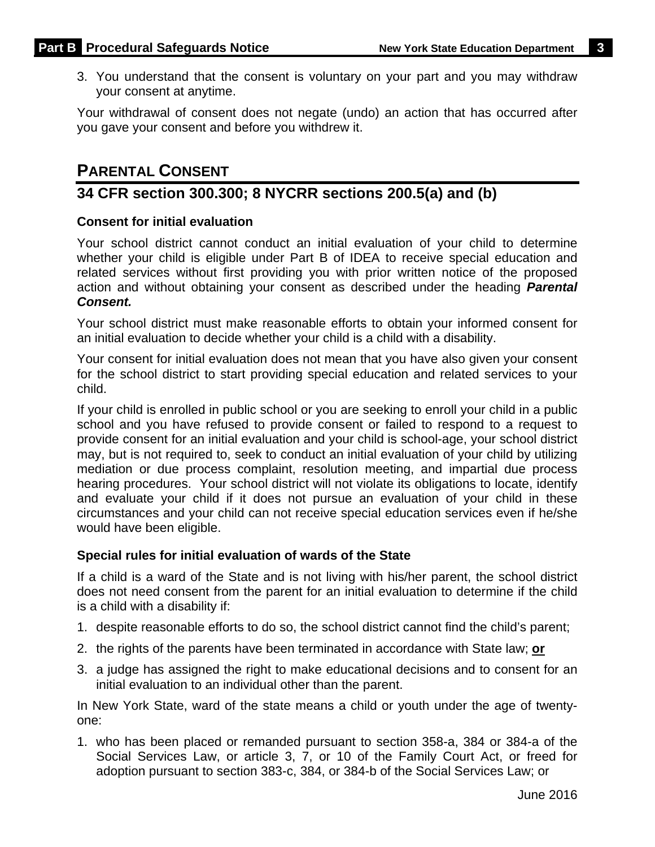3. You understand that the consent is voluntary on your part and you may withdraw your consent at anytime.

Your withdrawal of consent does not negate (undo) an action that has occurred after you gave your consent and before you withdrew it.

# **PARENTAL CONSENT**

# **34 CFR section 300.300; 8 NYCRR sections 200.5(a) and (b)**

#### **Consent for initial evaluation**

Your school district cannot conduct an initial evaluation of your child to determine whether your child is eligible under Part B of IDEA to receive special education and related services without first providing you with prior written notice of the proposed action and without obtaining your consent as described under the heading *Parental Consent.*

Your school district must make reasonable efforts to obtain your informed consent for an initial evaluation to decide whether your child is a child with a disability.

Your consent for initial evaluation does not mean that you have also given your consent for the school district to start providing special education and related services to your child.

If your child is enrolled in public school or you are seeking to enroll your child in a public school and you have refused to provide consent or failed to respond to a request to provide consent for an initial evaluation and your child is school-age, your school district may, but is not required to, seek to conduct an initial evaluation of your child by utilizing mediation or due process complaint, resolution meeting, and impartial due process hearing procedures. Your school district will not violate its obligations to locate, identify and evaluate your child if it does not pursue an evaluation of your child in these circumstances and your child can not receive special education services even if he/she would have been eligible.

#### **Special rules for initial evaluation of wards of the State**

If a child is a ward of the State and is not living with his/her parent, the school district does not need consent from the parent for an initial evaluation to determine if the child is a child with a disability if:

- 1. despite reasonable efforts to do so, the school district cannot find the child's parent;
- 2. the rights of the parents have been terminated in accordance with State law; **or**
- 3. a judge has assigned the right to make educational decisions and to consent for an initial evaluation to an individual other than the parent.

In New York State, ward of the state means a child or youth under the age of twentyone:

1. who has been placed or remanded pursuant to section 358-a, 384 or 384-a of the Social Services Law, or article 3, 7, or 10 of the Family Court Act, or freed for adoption pursuant to section 383-c, 384, or 384-b of the Social Services Law; or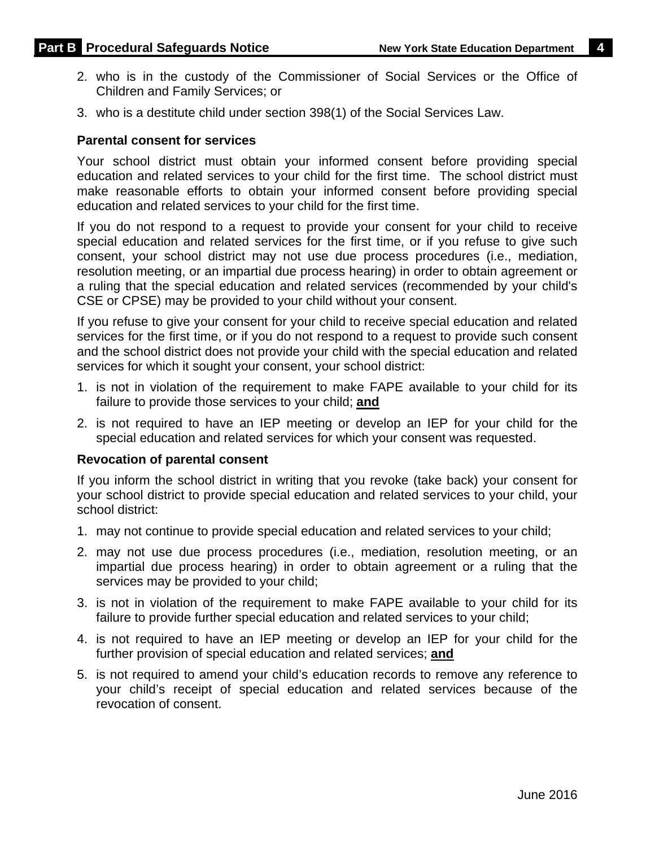- 2. who is in the custody of the Commissioner of Social Services or the Office of Children and Family Services; or
- 3. who is a destitute child under section 398(1) of the Social Services Law.

#### **Parental consent for services**

Your school district must obtain your informed consent before providing special education and related services to your child for the first time. The school district must make reasonable efforts to obtain your informed consent before providing special education and related services to your child for the first time.

If you do not respond to a request to provide your consent for your child to receive special education and related services for the first time, or if you refuse to give such consent, your school district may not use due process procedures (i.e., mediation, resolution meeting, or an impartial due process hearing) in order to obtain agreement or a ruling that the special education and related services (recommended by your child's CSE or CPSE) may be provided to your child without your consent.

If you refuse to give your consent for your child to receive special education and related services for the first time, or if you do not respond to a request to provide such consent and the school district does not provide your child with the special education and related services for which it sought your consent, your school district:

- 1. is not in violation of the requirement to make FAPE available to your child for its failure to provide those services to your child; **and**
- 2. is not required to have an IEP meeting or develop an IEP for your child for the special education and related services for which your consent was requested.

#### **Revocation of parental consent**

If you inform the school district in writing that you revoke (take back) your consent for your school district to provide special education and related services to your child, your school district:

- 1. may not continue to provide special education and related services to your child;
- 2. may not use due process procedures (i.e., mediation, resolution meeting, or an impartial due process hearing) in order to obtain agreement or a ruling that the services may be provided to your child;
- 3. is not in violation of the requirement to make FAPE available to your child for its failure to provide further special education and related services to your child;
- 4. is not required to have an IEP meeting or develop an IEP for your child for the further provision of special education and related services; **and**
- 5. is not required to amend your child's education records to remove any reference to your child's receipt of special education and related services because of the revocation of consent.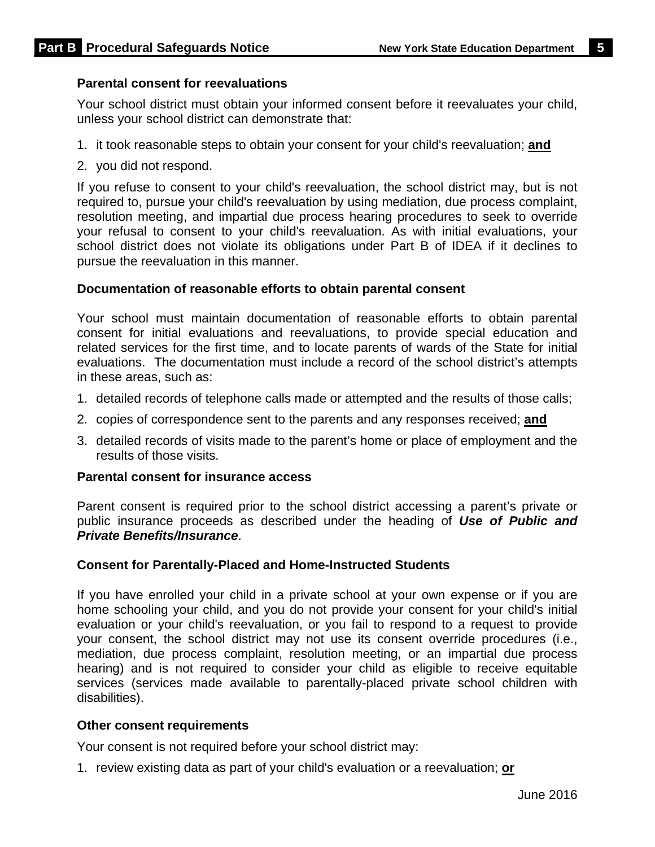#### **Parental consent for reevaluations**

Your school district must obtain your informed consent before it reevaluates your child, unless your school district can demonstrate that:

- 1. it took reasonable steps to obtain your consent for your child's reevaluation; **and**
- 2. you did not respond.

If you refuse to consent to your child's reevaluation, the school district may, but is not required to, pursue your child's reevaluation by using mediation, due process complaint, resolution meeting, and impartial due process hearing procedures to seek to override your refusal to consent to your child's reevaluation. As with initial evaluations, your school district does not violate its obligations under Part B of IDEA if it declines to pursue the reevaluation in this manner.

#### **Documentation of reasonable efforts to obtain parental consent**

Your school must maintain documentation of reasonable efforts to obtain parental consent for initial evaluations and reevaluations, to provide special education and related services for the first time, and to locate parents of wards of the State for initial evaluations. The documentation must include a record of the school district's attempts in these areas, such as:

- 1. detailed records of telephone calls made or attempted and the results of those calls;
- 2. copies of correspondence sent to the parents and any responses received; **and**
- 3. detailed records of visits made to the parent's home or place of employment and the results of those visits.

#### **Parental consent for insurance access**

Parent consent is required prior to the school district accessing a parent's private or public insurance proceeds as described under the heading of *Use of Public and Private Benefits/Insurance*.

#### **Consent for Parentally-Placed and Home-Instructed Students**

If you have enrolled your child in a private school at your own expense or if you are home schooling your child, and you do not provide your consent for your child's initial evaluation or your child's reevaluation, or you fail to respond to a request to provide your consent, the school district may not use its consent override procedures (i.e., mediation, due process complaint, resolution meeting, or an impartial due process hearing) and is not required to consider your child as eligible to receive equitable services (services made available to parentally-placed private school children with disabilities).

#### **Other consent requirements**

Your consent is not required before your school district may:

1. review existing data as part of your child's evaluation or a reevaluation; **or**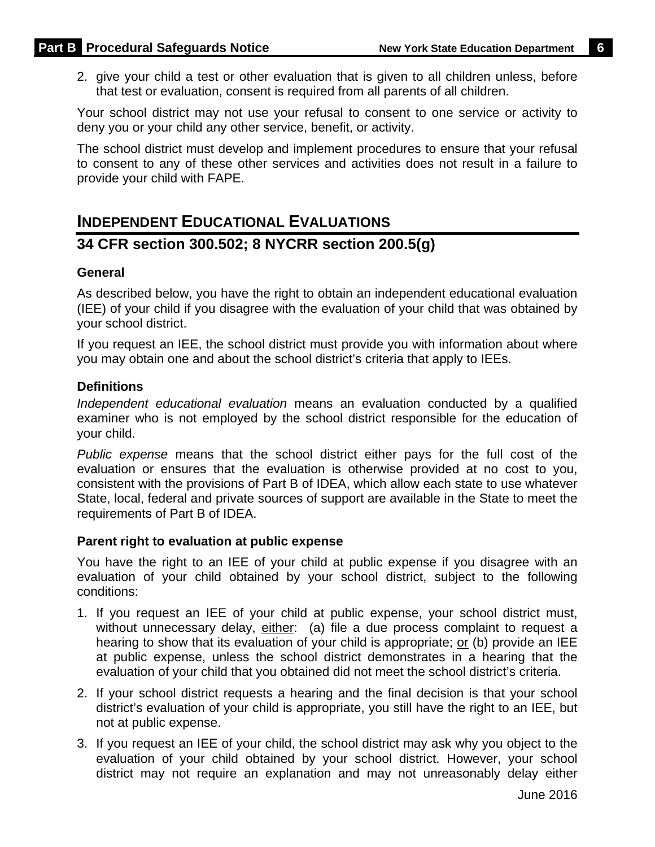2. give your child a test or other evaluation that is given to all children unless, before that test or evaluation, consent is required from all parents of all children.

Your school district may not use your refusal to consent to one service or activity to deny you or your child any other service, benefit, or activity.

The school district must develop and implement procedures to ensure that your refusal to consent to any of these other services and activities does not result in a failure to provide your child with FAPE.

# **INDEPENDENT EDUCATIONAL EVALUATIONS 34 CFR section 300.502; 8 NYCRR section 200.5(g)**

#### **General**

As described below, you have the right to obtain an independent educational evaluation (IEE) of your child if you disagree with the evaluation of your child that was obtained by your school district.

If you request an IEE, the school district must provide you with information about where you may obtain one and about the school district's criteria that apply to IEEs.

#### **Definitions**

*Independent educational evaluation* means an evaluation conducted by a qualified examiner who is not employed by the school district responsible for the education of your child.

*Public expense* means that the school district either pays for the full cost of the evaluation or ensures that the evaluation is otherwise provided at no cost to you, consistent with the provisions of Part B of IDEA, which allow each state to use whatever State, local, federal and private sources of support are available in the State to meet the requirements of Part B of IDEA.

#### **Parent right to evaluation at public expense**

You have the right to an IEE of your child at public expense if you disagree with an evaluation of your child obtained by your school district, subject to the following conditions:

- 1. If you request an IEE of your child at public expense, your school district must, without unnecessary delay, either: (a) file a due process complaint to request a hearing to show that its evaluation of your child is appropriate; or (b) provide an IEE at public expense, unless the school district demonstrates in a hearing that the evaluation of your child that you obtained did not meet the school district's criteria.
- 2. If your school district requests a hearing and the final decision is that your school district's evaluation of your child is appropriate, you still have the right to an IEE, but not at public expense.
- 3. If you request an IEE of your child, the school district may ask why you object to the evaluation of your child obtained by your school district. However, your school district may not require an explanation and may not unreasonably delay either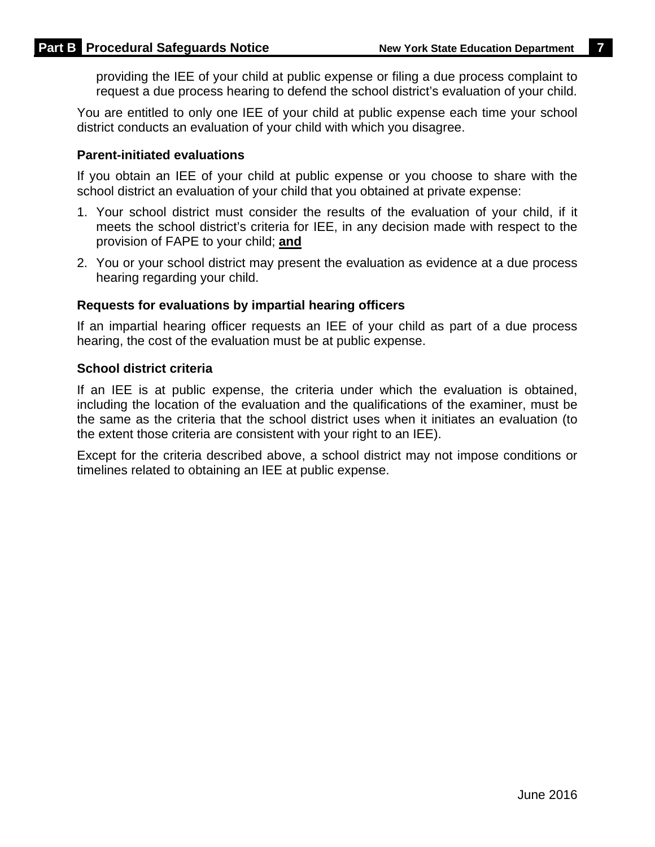providing the IEE of your child at public expense or filing a due process complaint to request a due process hearing to defend the school district's evaluation of your child.

You are entitled to only one IEE of your child at public expense each time your school district conducts an evaluation of your child with which you disagree.

#### **Parent-initiated evaluations**

If you obtain an IEE of your child at public expense or you choose to share with the school district an evaluation of your child that you obtained at private expense:

- 1. Your school district must consider the results of the evaluation of your child, if it meets the school district's criteria for IEE, in any decision made with respect to the provision of FAPE to your child; **and**
- 2. You or your school district may present the evaluation as evidence at a due process hearing regarding your child.

#### **Requests for evaluations by impartial hearing officers**

If an impartial hearing officer requests an IEE of your child as part of a due process hearing, the cost of the evaluation must be at public expense.

#### **School district criteria**

If an IEE is at public expense, the criteria under which the evaluation is obtained, including the location of the evaluation and the qualifications of the examiner, must be the same as the criteria that the school district uses when it initiates an evaluation (to the extent those criteria are consistent with your right to an IEE).

Except for the criteria described above, a school district may not impose conditions or timelines related to obtaining an IEE at public expense.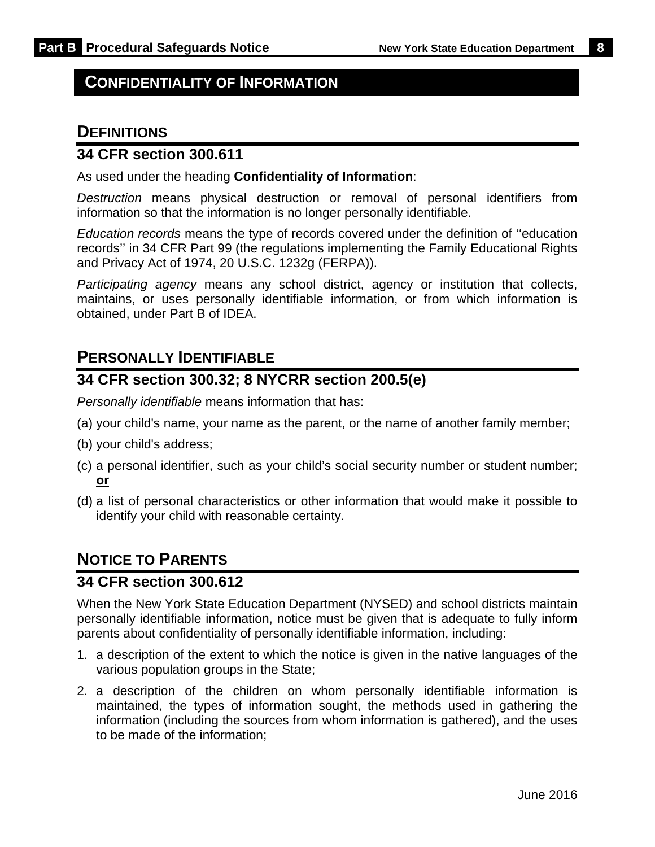### **CONFIDENTIALITY OF INFORMATION**

### **DEFINITIONS**

### **34 CFR section 300.611**

As used under the heading **Confidentiality of Information**:

*Destruction* means physical destruction or removal of personal identifiers from information so that the information is no longer personally identifiable.

*Education records* means the type of records covered under the definition of ''education records'' in 34 CFR Part 99 (the regulations implementing the Family Educational Rights and Privacy Act of 1974, 20 U.S.C. 1232g (FERPA)).

*Participating agency* means any school district, agency or institution that collects, maintains, or uses personally identifiable information, or from which information is obtained, under Part B of IDEA.

### **PERSONALLY IDENTIFIABLE**

### **34 CFR section 300.32; 8 NYCRR section 200.5(e)**

*Personally identifiable* means information that has:

- (a) your child's name, your name as the parent, or the name of another family member;
- (b) your child's address;
- (c) a personal identifier, such as your child's social security number or student number; **or**
- (d) a list of personal characteristics or other information that would make it possible to identify your child with reasonable certainty.

## **NOTICE TO PARENTS**

### **34 CFR section 300.612**

When the New York State Education Department (NYSED) and school districts maintain personally identifiable information, notice must be given that is adequate to fully inform parents about confidentiality of personally identifiable information, including:

- 1. a description of the extent to which the notice is given in the native languages of the various population groups in the State;
- 2. a description of the children on whom personally identifiable information is maintained, the types of information sought, the methods used in gathering the information (including the sources from whom information is gathered), and the uses to be made of the information;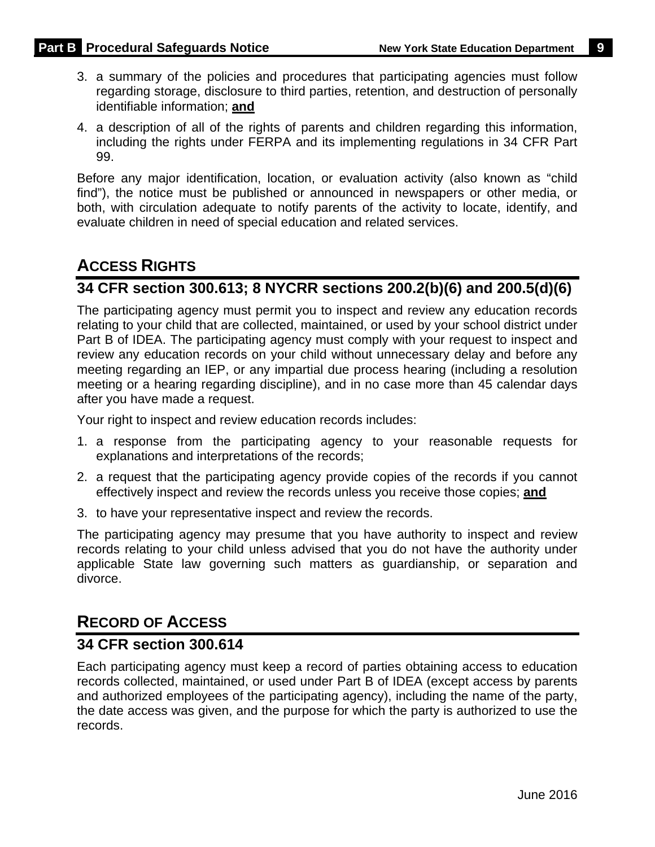- 3. a summary of the policies and procedures that participating agencies must follow regarding storage, disclosure to third parties, retention, and destruction of personally identifiable information; **and**
- 4. a description of all of the rights of parents and children regarding this information, including the rights under FERPA and its implementing regulations in 34 CFR Part 99.

Before any major identification, location, or evaluation activity (also known as "child find"), the notice must be published or announced in newspapers or other media, or both, with circulation adequate to notify parents of the activity to locate, identify, and evaluate children in need of special education and related services.

# **ACCESS RIGHTS**

### **34 CFR section 300.613; 8 NYCRR sections 200.2(b)(6) and 200.5(d)(6)**

The participating agency must permit you to inspect and review any education records relating to your child that are collected, maintained, or used by your school district under Part B of IDEA. The participating agency must comply with your request to inspect and review any education records on your child without unnecessary delay and before any meeting regarding an IEP, or any impartial due process hearing (including a resolution meeting or a hearing regarding discipline), and in no case more than 45 calendar days after you have made a request.

Your right to inspect and review education records includes:

- 1. a response from the participating agency to your reasonable requests for explanations and interpretations of the records;
- 2. a request that the participating agency provide copies of the records if you cannot effectively inspect and review the records unless you receive those copies; **and**
- 3. to have your representative inspect and review the records.

The participating agency may presume that you have authority to inspect and review records relating to your child unless advised that you do not have the authority under applicable State law governing such matters as guardianship, or separation and divorce.

## **RECORD OF ACCESS**

### **34 CFR section 300.614**

Each participating agency must keep a record of parties obtaining access to education records collected, maintained, or used under Part B of IDEA (except access by parents and authorized employees of the participating agency), including the name of the party, the date access was given, and the purpose for which the party is authorized to use the records.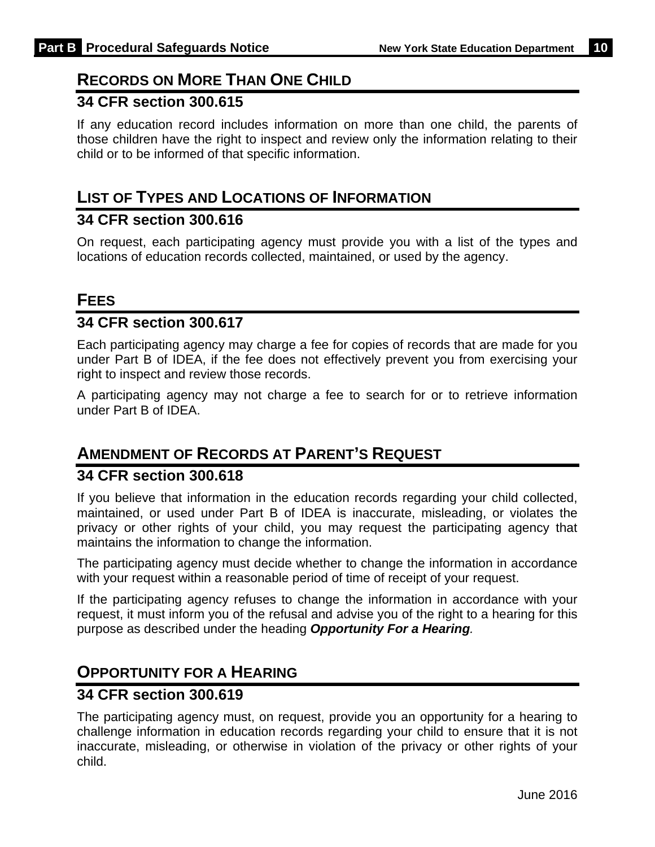# **RECORDS ON MORE THAN ONE CHILD**

### **34 CFR section 300.615**

If any education record includes information on more than one child, the parents of those children have the right to inspect and review only the information relating to their child or to be informed of that specific information.

### **LIST OF TYPES AND LOCATIONS OF INFORMATION**

### **34 CFR section 300.616**

On request, each participating agency must provide you with a list of the types and locations of education records collected, maintained, or used by the agency.

### **FEES**

### **34 CFR section 300.617**

Each participating agency may charge a fee for copies of records that are made for you under Part B of IDEA, if the fee does not effectively prevent you from exercising your right to inspect and review those records.

A participating agency may not charge a fee to search for or to retrieve information under Part B of IDEA.

## **AMENDMENT OF RECORDS AT PARENT'S REQUEST**

### **34 CFR section 300.618**

If you believe that information in the education records regarding your child collected, maintained, or used under Part B of IDEA is inaccurate, misleading, or violates the privacy or other rights of your child, you may request the participating agency that maintains the information to change the information.

The participating agency must decide whether to change the information in accordance with your request within a reasonable period of time of receipt of your request.

If the participating agency refuses to change the information in accordance with your request, it must inform you of the refusal and advise you of the right to a hearing for this purpose as described under the heading *Opportunity For a Hearing.* 

# **OPPORTUNITY FOR A HEARING**

### **34 CFR section 300.619**

The participating agency must, on request, provide you an opportunity for a hearing to challenge information in education records regarding your child to ensure that it is not inaccurate, misleading, or otherwise in violation of the privacy or other rights of your child.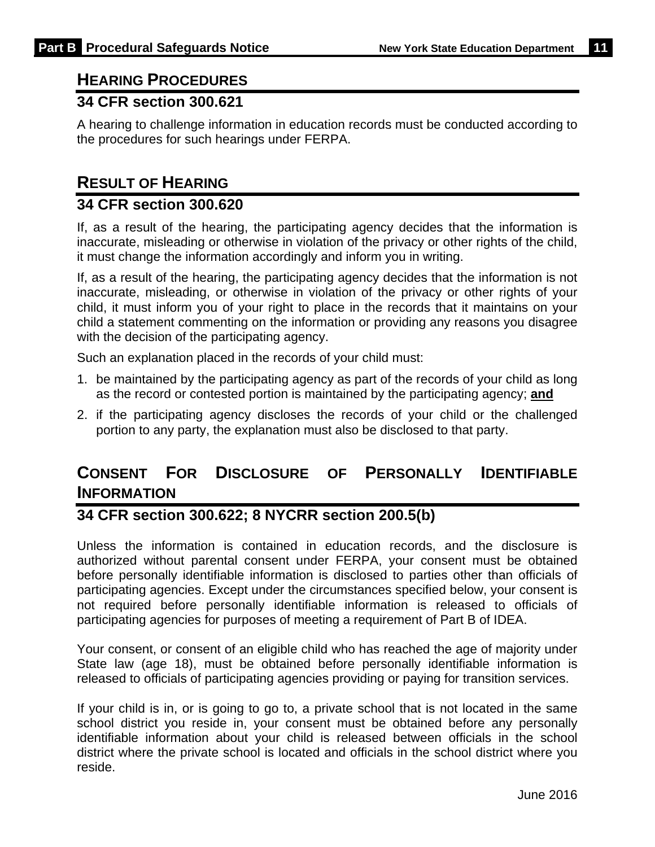# **HEARING PROCEDURES**

### **34 CFR section 300.621**

A hearing to challenge information in education records must be conducted according to the procedures for such hearings under FERPA.

### **RESULT OF HEARING**

### **34 CFR section 300.620**

If, as a result of the hearing, the participating agency decides that the information is inaccurate, misleading or otherwise in violation of the privacy or other rights of the child, it must change the information accordingly and inform you in writing.

If, as a result of the hearing, the participating agency decides that the information is not inaccurate, misleading, or otherwise in violation of the privacy or other rights of your child, it must inform you of your right to place in the records that it maintains on your child a statement commenting on the information or providing any reasons you disagree with the decision of the participating agency.

Such an explanation placed in the records of your child must:

- 1. be maintained by the participating agency as part of the records of your child as long as the record or contested portion is maintained by the participating agency; **and**
- 2. if the participating agency discloses the records of your child or the challenged portion to any party, the explanation must also be disclosed to that party.

# **CONSENT FOR DISCLOSURE OF PERSONALLY IDENTIFIABLE INFORMATION**

### **34 CFR section 300.622; 8 NYCRR section 200.5(b)**

Unless the information is contained in education records, and the disclosure is authorized without parental consent under FERPA, your consent must be obtained before personally identifiable information is disclosed to parties other than officials of participating agencies. Except under the circumstances specified below, your consent is not required before personally identifiable information is released to officials of participating agencies for purposes of meeting a requirement of Part B of IDEA.

Your consent, or consent of an eligible child who has reached the age of majority under State law (age 18), must be obtained before personally identifiable information is released to officials of participating agencies providing or paying for transition services.

If your child is in, or is going to go to, a private school that is not located in the same school district you reside in, your consent must be obtained before any personally identifiable information about your child is released between officials in the school district where the private school is located and officials in the school district where you reside.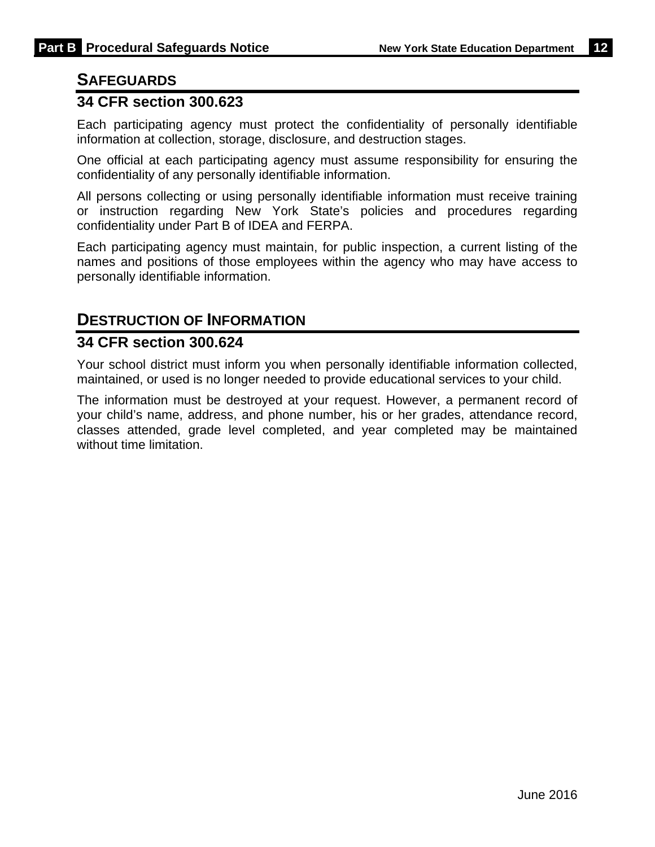### **SAFEGUARDS**

### **34 CFR section 300.623**

Each participating agency must protect the confidentiality of personally identifiable information at collection, storage, disclosure, and destruction stages.

One official at each participating agency must assume responsibility for ensuring the confidentiality of any personally identifiable information.

All persons collecting or using personally identifiable information must receive training or instruction regarding New York State's policies and procedures regarding confidentiality under Part B of IDEA and FERPA.

Each participating agency must maintain, for public inspection, a current listing of the names and positions of those employees within the agency who may have access to personally identifiable information.

### **DESTRUCTION OF INFORMATION**

### **34 CFR section 300.624**

Your school district must inform you when personally identifiable information collected, maintained, or used is no longer needed to provide educational services to your child.

The information must be destroyed at your request. However, a permanent record of your child's name, address, and phone number, his or her grades, attendance record, classes attended, grade level completed, and year completed may be maintained without time limitation.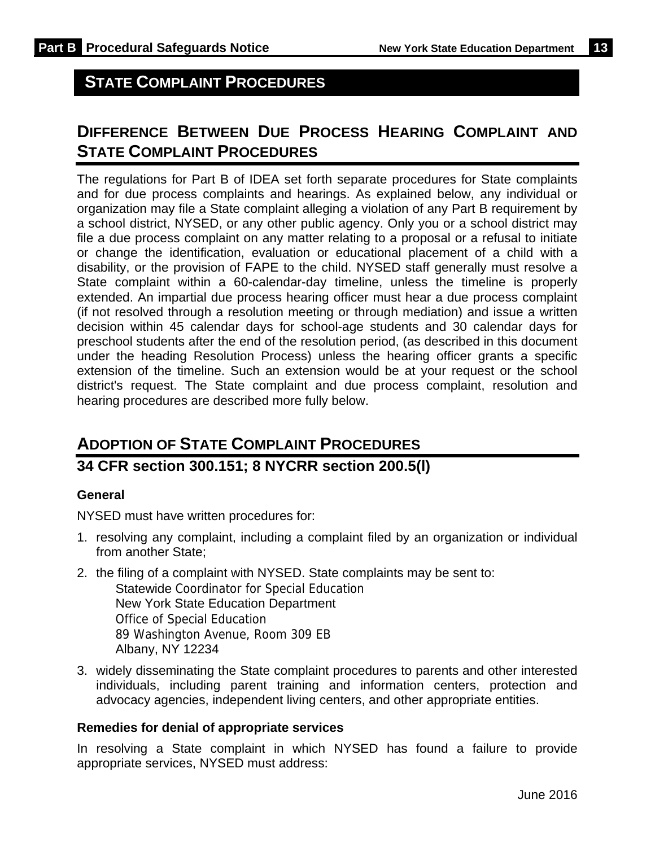# **STATE COMPLAINT PROCEDURES**

# **DIFFERENCE BETWEEN DUE PROCESS HEARING COMPLAINT AND STATE COMPLAINT PROCEDURES**

The regulations for Part B of IDEA set forth separate procedures for State complaints and for due process complaints and hearings. As explained below, any individual or organization may file a State complaint alleging a violation of any Part B requirement by a school district, NYSED, or any other public agency. Only you or a school district may file a due process complaint on any matter relating to a proposal or a refusal to initiate or change the identification, evaluation or educational placement of a child with a disability, or the provision of FAPE to the child. NYSED staff generally must resolve a State complaint within a 60-calendar-day timeline, unless the timeline is properly extended. An impartial due process hearing officer must hear a due process complaint (if not resolved through a resolution meeting or through mediation) and issue a written decision within 45 calendar days for school-age students and 30 calendar days for preschool students after the end of the resolution period, (as described in this document under the heading Resolution Process) unless the hearing officer grants a specific extension of the timeline. Such an extension would be at your request or the school district's request. The State complaint and due process complaint, resolution and hearing procedures are described more fully below.

# **ADOPTION OF STATE COMPLAINT PROCEDURES**

### **34 CFR section 300.151; 8 NYCRR section 200.5(l)**

#### **General**

NYSED must have written procedures for:

- 1. resolving any complaint, including a complaint filed by an organization or individual from another State;
- 2. the filing of a complaint with NYSED. State complaints may be sent to: Statewide Coordinator for Special Education New York State Education Department Office of Special Education 89 Washington Avenue, Room 309 EB Albany, NY 12234
- 3. widely disseminating the State complaint procedures to parents and other interested individuals, including parent training and information centers, protection and advocacy agencies, independent living centers, and other appropriate entities.

#### **Remedies for denial of appropriate services**

In resolving a State complaint in which NYSED has found a failure to provide appropriate services, NYSED must address: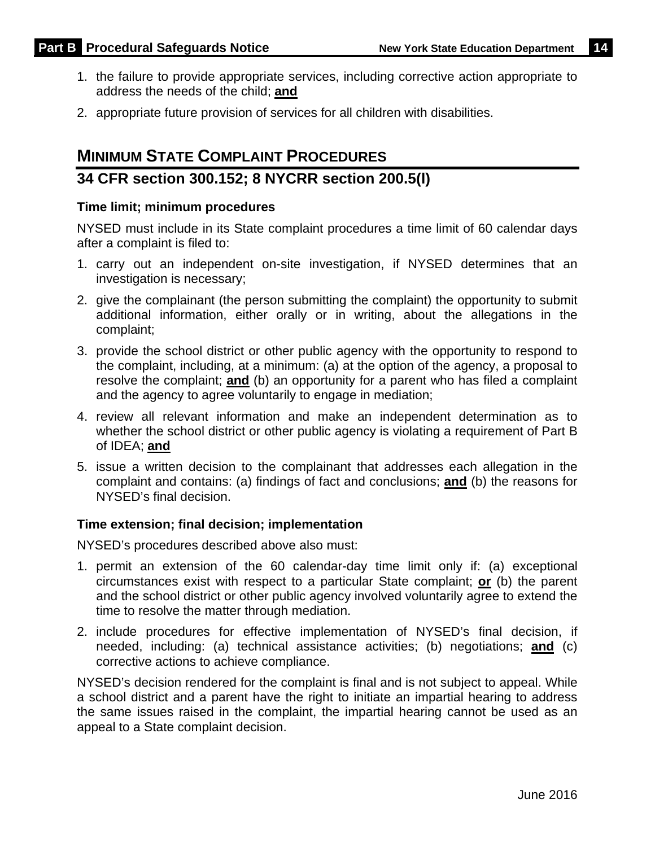- 1. the failure to provide appropriate services, including corrective action appropriate to address the needs of the child; **and**
- 2. appropriate future provision of services for all children with disabilities.

# **MINIMUM STATE COMPLAINT PROCEDURES**

### **34 CFR section 300.152; 8 NYCRR section 200.5(l)**

#### **Time limit; minimum procedures**

NYSED must include in its State complaint procedures a time limit of 60 calendar days after a complaint is filed to:

- 1. carry out an independent on-site investigation, if NYSED determines that an investigation is necessary;
- 2. give the complainant (the person submitting the complaint) the opportunity to submit additional information, either orally or in writing, about the allegations in the complaint;
- 3. provide the school district or other public agency with the opportunity to respond to the complaint, including, at a minimum: (a) at the option of the agency, a proposal to resolve the complaint; **and** (b) an opportunity for a parent who has filed a complaint and the agency to agree voluntarily to engage in mediation;
- 4. review all relevant information and make an independent determination as to whether the school district or other public agency is violating a requirement of Part B of IDEA; **and**
- 5. issue a written decision to the complainant that addresses each allegation in the complaint and contains: (a) findings of fact and conclusions; **and** (b) the reasons for NYSED's final decision.

#### **Time extension; final decision; implementation**

NYSED's procedures described above also must:

- 1. permit an extension of the 60 calendar-day time limit only if: (a) exceptional circumstances exist with respect to a particular State complaint; **or** (b) the parent and the school district or other public agency involved voluntarily agree to extend the time to resolve the matter through mediation.
- 2. include procedures for effective implementation of NYSED's final decision, if needed, including: (a) technical assistance activities; (b) negotiations; **and** (c) corrective actions to achieve compliance.

NYSED's decision rendered for the complaint is final and is not subject to appeal. While a school district and a parent have the right to initiate an impartial hearing to address the same issues raised in the complaint, the impartial hearing cannot be used as an appeal to a State complaint decision.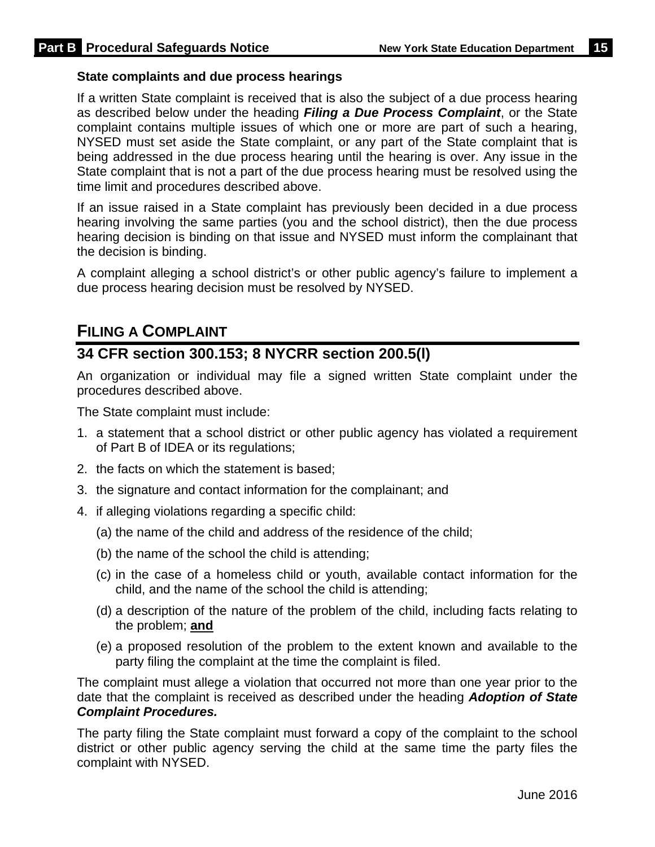#### **State complaints and due process hearings**

If a written State complaint is received that is also the subject of a due process hearing as described below under the heading *Filing a Due Process Complaint*, or the State complaint contains multiple issues of which one or more are part of such a hearing, NYSED must set aside the State complaint, or any part of the State complaint that is being addressed in the due process hearing until the hearing is over. Any issue in the State complaint that is not a part of the due process hearing must be resolved using the time limit and procedures described above.

If an issue raised in a State complaint has previously been decided in a due process hearing involving the same parties (you and the school district), then the due process hearing decision is binding on that issue and NYSED must inform the complainant that the decision is binding.

A complaint alleging a school district's or other public agency's failure to implement a due process hearing decision must be resolved by NYSED.

### **FILING A COMPLAINT**

### **34 CFR section 300.153; 8 NYCRR section 200.5(l)**

An organization or individual may file a signed written State complaint under the procedures described above.

The State complaint must include:

- 1. a statement that a school district or other public agency has violated a requirement of Part B of IDEA or its regulations;
- 2. the facts on which the statement is based;
- 3. the signature and contact information for the complainant; and
- 4. if alleging violations regarding a specific child:
	- (a) the name of the child and address of the residence of the child;
	- (b) the name of the school the child is attending;
	- (c) in the case of a homeless child or youth, available contact information for the child, and the name of the school the child is attending;
	- (d) a description of the nature of the problem of the child, including facts relating to the problem; **and**
	- (e) a proposed resolution of the problem to the extent known and available to the party filing the complaint at the time the complaint is filed.

The complaint must allege a violation that occurred not more than one year prior to the date that the complaint is received as described under the heading *Adoption of State Complaint Procedures.* 

The party filing the State complaint must forward a copy of the complaint to the school district or other public agency serving the child at the same time the party files the complaint with NYSED.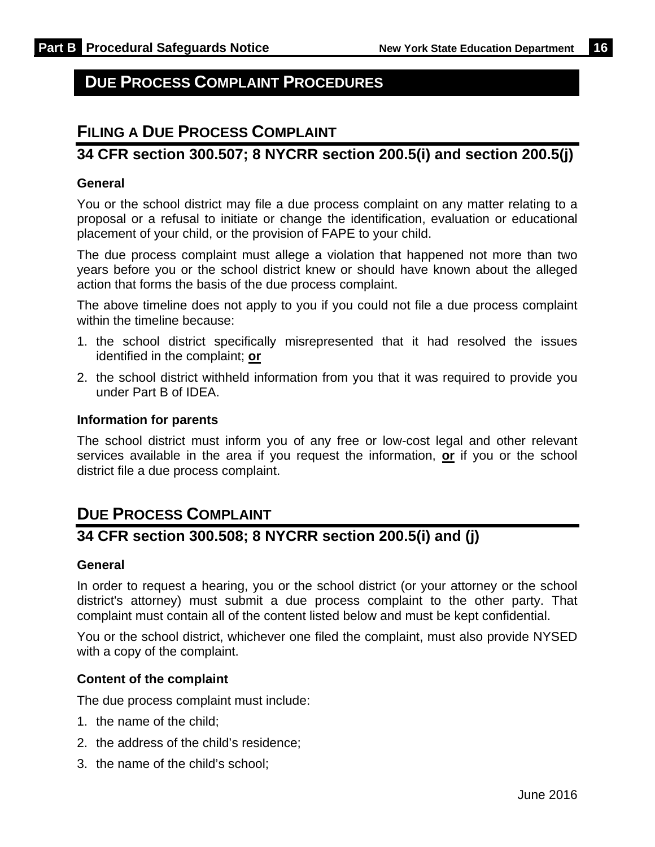# **DUE PROCESS COMPLAINT PROCEDURES**

## **FILING A DUE PROCESS COMPLAINT**

### **34 CFR section 300.507; 8 NYCRR section 200.5(i) and section 200.5(j)**

#### **General**

You or the school district may file a due process complaint on any matter relating to a proposal or a refusal to initiate or change the identification, evaluation or educational placement of your child, or the provision of FAPE to your child.

The due process complaint must allege a violation that happened not more than two years before you or the school district knew or should have known about the alleged action that forms the basis of the due process complaint.

The above timeline does not apply to you if you could not file a due process complaint within the timeline because:

- 1. the school district specifically misrepresented that it had resolved the issues identified in the complaint; **or**
- 2. the school district withheld information from you that it was required to provide you under Part B of IDEA.

#### **Information for parents**

The school district must inform you of any free or low-cost legal and other relevant services available in the area if you request the information, **or** if you or the school district file a due process complaint.

## **DUE PROCESS COMPLAINT**

### **34 CFR section 300.508; 8 NYCRR section 200.5(i) and (j)**

#### **General**

In order to request a hearing, you or the school district (or your attorney or the school district's attorney) must submit a due process complaint to the other party. That complaint must contain all of the content listed below and must be kept confidential.

You or the school district, whichever one filed the complaint, must also provide NYSED with a copy of the complaint.

#### **Content of the complaint**

The due process complaint must include:

- 1. the name of the child;
- 2. the address of the child's residence;
- 3. the name of the child's school;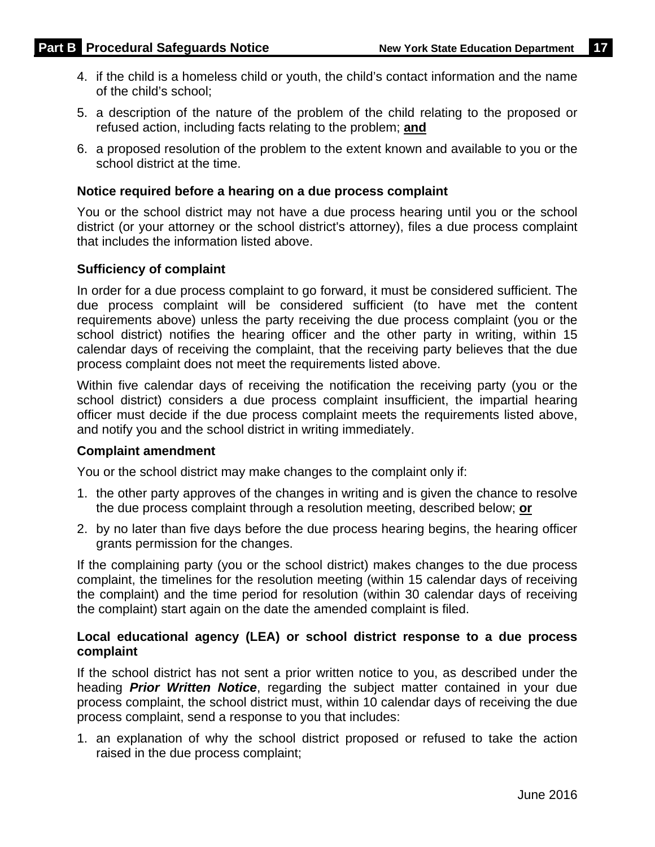- 4. if the child is a homeless child or youth, the child's contact information and the name of the child's school;
- 5. a description of the nature of the problem of the child relating to the proposed or refused action, including facts relating to the problem; **and**
- 6. a proposed resolution of the problem to the extent known and available to you or the school district at the time.

#### **Notice required before a hearing on a due process complaint**

You or the school district may not have a due process hearing until you or the school district (or your attorney or the school district's attorney), files a due process complaint that includes the information listed above.

#### **Sufficiency of complaint**

In order for a due process complaint to go forward, it must be considered sufficient. The due process complaint will be considered sufficient (to have met the content requirements above) unless the party receiving the due process complaint (you or the school district) notifies the hearing officer and the other party in writing, within 15 calendar days of receiving the complaint, that the receiving party believes that the due process complaint does not meet the requirements listed above.

Within five calendar days of receiving the notification the receiving party (you or the school district) considers a due process complaint insufficient, the impartial hearing officer must decide if the due process complaint meets the requirements listed above, and notify you and the school district in writing immediately.

#### **Complaint amendment**

You or the school district may make changes to the complaint only if:

- 1. the other party approves of the changes in writing and is given the chance to resolve the due process complaint through a resolution meeting, described below; **or**
- 2. by no later than five days before the due process hearing begins, the hearing officer grants permission for the changes.

If the complaining party (you or the school district) makes changes to the due process complaint, the timelines for the resolution meeting (within 15 calendar days of receiving the complaint) and the time period for resolution (within 30 calendar days of receiving the complaint) start again on the date the amended complaint is filed.

#### **Local educational agency (LEA) or school district response to a due process complaint**

If the school district has not sent a prior written notice to you, as described under the heading *Prior Written Notice*, regarding the subject matter contained in your due process complaint, the school district must, within 10 calendar days of receiving the due process complaint, send a response to you that includes:

1. an explanation of why the school district proposed or refused to take the action raised in the due process complaint;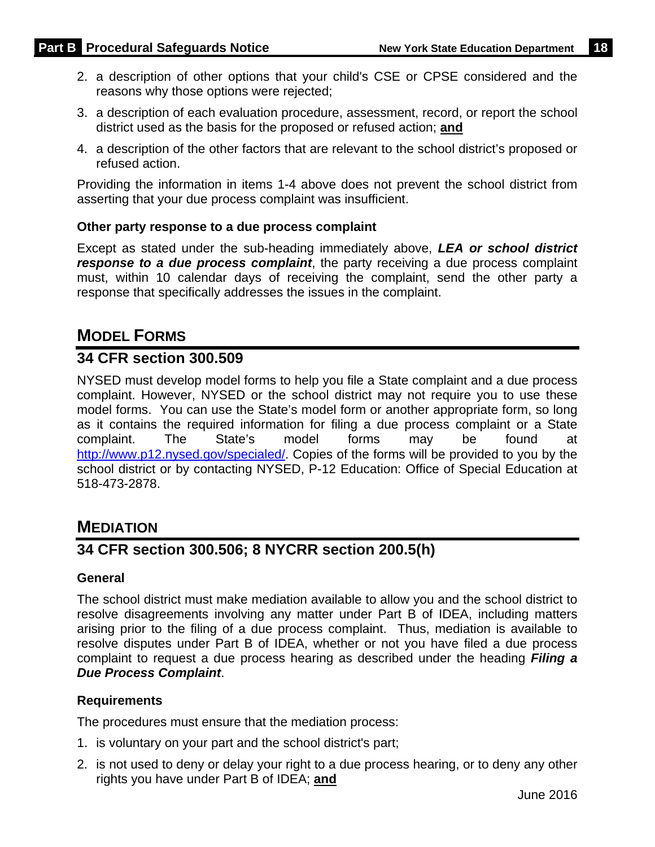- 2. a description of other options that your child's CSE or CPSE considered and the reasons why those options were rejected;
- 3. a description of each evaluation procedure, assessment, record, or report the school district used as the basis for the proposed or refused action; **and**
- 4. a description of the other factors that are relevant to the school district's proposed or refused action.

Providing the information in items 1-4 above does not prevent the school district from asserting that your due process complaint was insufficient.

#### **Other party response to a due process complaint**

Except as stated under the sub-heading immediately above, *LEA or school district response to a due process complaint*, the party receiving a due process complaint must, within 10 calendar days of receiving the complaint, send the other party a response that specifically addresses the issues in the complaint.

# **MODEL FORMS**

### **34 CFR section 300.509**

NYSED must develop model forms to help you file a State complaint and a due process complaint. However, NYSED or the school district may not require you to use these model forms. You can use the State's model form or another appropriate form, so long as it contains the required information for filing a due process complaint or a State complaint. The State's model forms may be found at http://www.p12.nysed.gov/specialed/. Copies of the forms will be provided to you by the school district or by contacting NYSED, P-12 Education: Office of Special Education at 518-473-2878.

### **MEDIATION**

### **34 CFR section 300.506; 8 NYCRR section 200.5(h)**

#### **General**

The school district must make mediation available to allow you and the school district to resolve disagreements involving any matter under Part B of IDEA, including matters arising prior to the filing of a due process complaint. Thus, mediation is available to resolve disputes under Part B of IDEA, whether or not you have filed a due process complaint to request a due process hearing as described under the heading *Filing a Due Process Complaint*.

#### **Requirements**

The procedures must ensure that the mediation process:

- 1. is voluntary on your part and the school district's part;
- 2. is not used to deny or delay your right to a due process hearing, or to deny any other rights you have under Part B of IDEA; **and**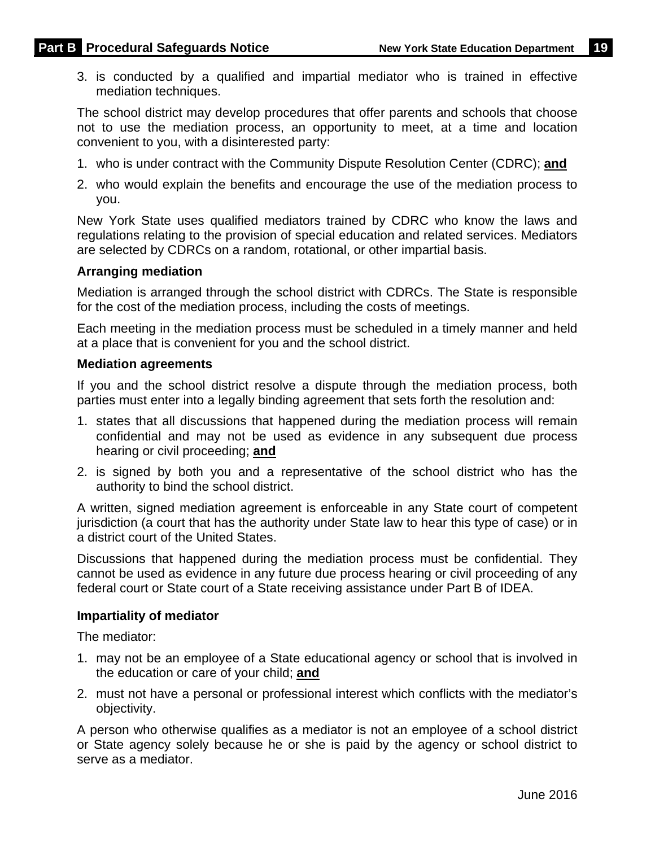3. is conducted by a qualified and impartial mediator who is trained in effective mediation techniques.

The school district may develop procedures that offer parents and schools that choose not to use the mediation process, an opportunity to meet, at a time and location convenient to you, with a disinterested party:

- 1. who is under contract with the Community Dispute Resolution Center (CDRC); **and**
- 2. who would explain the benefits and encourage the use of the mediation process to you.

New York State uses qualified mediators trained by CDRC who know the laws and regulations relating to the provision of special education and related services. Mediators are selected by CDRCs on a random, rotational, or other impartial basis.

#### **Arranging mediation**

Mediation is arranged through the school district with CDRCs. The State is responsible for the cost of the mediation process, including the costs of meetings.

Each meeting in the mediation process must be scheduled in a timely manner and held at a place that is convenient for you and the school district.

#### **Mediation agreements**

If you and the school district resolve a dispute through the mediation process, both parties must enter into a legally binding agreement that sets forth the resolution and:

- 1. states that all discussions that happened during the mediation process will remain confidential and may not be used as evidence in any subsequent due process hearing or civil proceeding; **and**
- 2. is signed by both you and a representative of the school district who has the authority to bind the school district.

A written, signed mediation agreement is enforceable in any State court of competent jurisdiction (a court that has the authority under State law to hear this type of case) or in a district court of the United States.

Discussions that happened during the mediation process must be confidential. They cannot be used as evidence in any future due process hearing or civil proceeding of any federal court or State court of a State receiving assistance under Part B of IDEA.

#### **Impartiality of mediator**

The mediator:

- 1. may not be an employee of a State educational agency or school that is involved in the education or care of your child; **and**
- 2. must not have a personal or professional interest which conflicts with the mediator's objectivity.

A person who otherwise qualifies as a mediator is not an employee of a school district or State agency solely because he or she is paid by the agency or school district to serve as a mediator.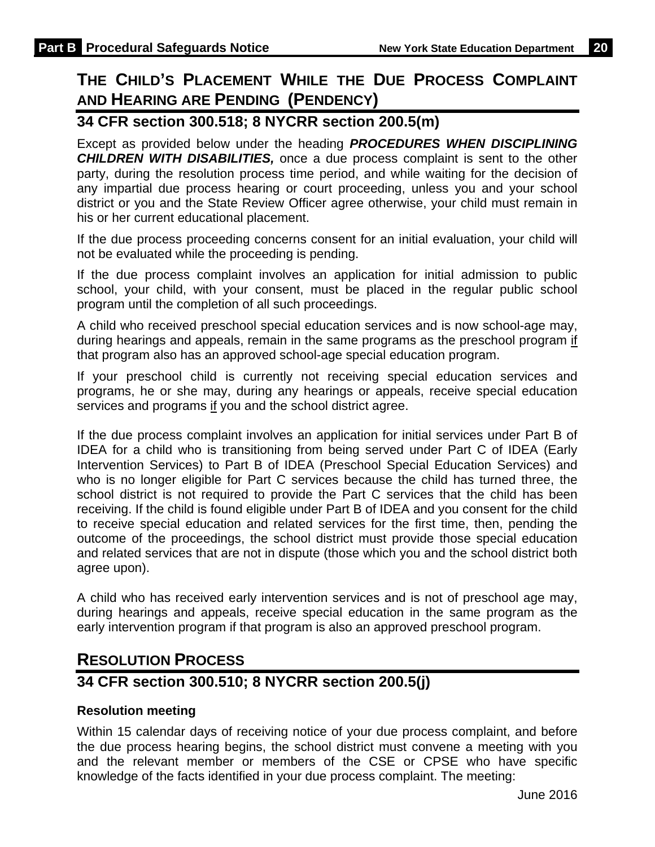# **THE CHILD'S PLACEMENT WHILE THE DUE PROCESS COMPLAINT AND HEARING ARE PENDING (PENDENCY)**

## **34 CFR section 300.518; 8 NYCRR section 200.5(m)**

Except as provided below under the heading *PROCEDURES WHEN DISCIPLINING CHILDREN WITH DISABILITIES,* once a due process complaint is sent to the other party, during the resolution process time period, and while waiting for the decision of any impartial due process hearing or court proceeding, unless you and your school district or you and the State Review Officer agree otherwise, your child must remain in his or her current educational placement.

If the due process proceeding concerns consent for an initial evaluation, your child will not be evaluated while the proceeding is pending.

If the due process complaint involves an application for initial admission to public school, your child, with your consent, must be placed in the regular public school program until the completion of all such proceedings.

A child who received preschool special education services and is now school-age may, during hearings and appeals, remain in the same programs as the preschool program if that program also has an approved school-age special education program.

If your preschool child is currently not receiving special education services and programs, he or she may, during any hearings or appeals, receive special education services and programs if you and the school district agree.

If the due process complaint involves an application for initial services under Part B of IDEA for a child who is transitioning from being served under Part C of IDEA (Early Intervention Services) to Part B of IDEA (Preschool Special Education Services) and who is no longer eligible for Part C services because the child has turned three, the school district is not required to provide the Part C services that the child has been receiving. If the child is found eligible under Part B of IDEA and you consent for the child to receive special education and related services for the first time, then, pending the outcome of the proceedings, the school district must provide those special education and related services that are not in dispute (those which you and the school district both agree upon).

A child who has received early intervention services and is not of preschool age may, during hearings and appeals, receive special education in the same program as the early intervention program if that program is also an approved preschool program.

# **RESOLUTION PROCESS**

### **34 CFR section 300.510; 8 NYCRR section 200.5(j)**

### **Resolution meeting**

Within 15 calendar days of receiving notice of your due process complaint, and before the due process hearing begins, the school district must convene a meeting with you and the relevant member or members of the CSE or CPSE who have specific knowledge of the facts identified in your due process complaint. The meeting: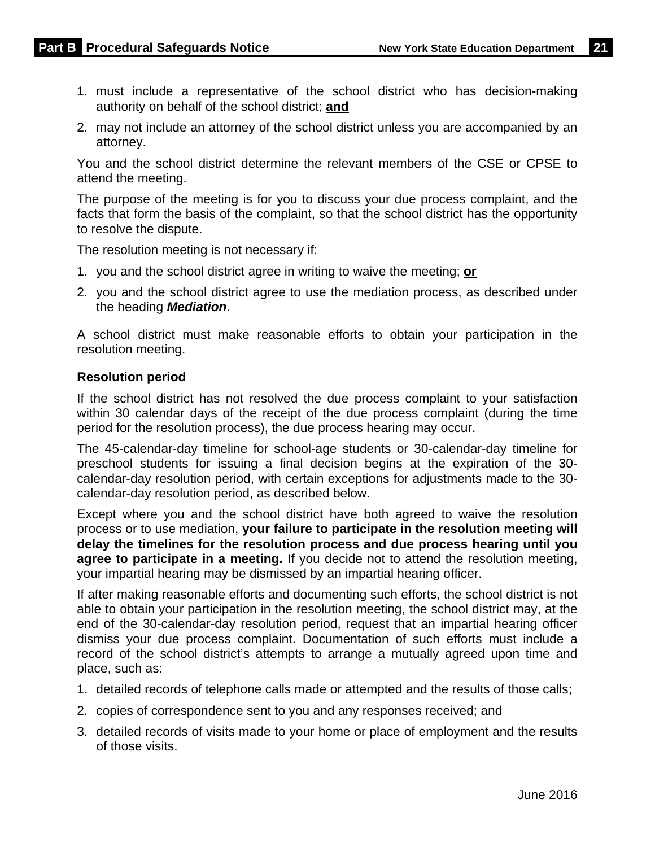- 1. must include a representative of the school district who has decision-making authority on behalf of the school district; **and**
- 2. may not include an attorney of the school district unless you are accompanied by an attorney.

You and the school district determine the relevant members of the CSE or CPSE to attend the meeting.

The purpose of the meeting is for you to discuss your due process complaint, and the facts that form the basis of the complaint, so that the school district has the opportunity to resolve the dispute.

The resolution meeting is not necessary if:

- 1. you and the school district agree in writing to waive the meeting; **or**
- 2. you and the school district agree to use the mediation process, as described under the heading *Mediation*.

A school district must make reasonable efforts to obtain your participation in the resolution meeting.

#### **Resolution period**

If the school district has not resolved the due process complaint to your satisfaction within 30 calendar days of the receipt of the due process complaint (during the time period for the resolution process), the due process hearing may occur.

The 45-calendar-day timeline for school-age students or 30-calendar-day timeline for preschool students for issuing a final decision begins at the expiration of the 30 calendar-day resolution period, with certain exceptions for adjustments made to the 30 calendar-day resolution period, as described below.

Except where you and the school district have both agreed to waive the resolution process or to use mediation, **your failure to participate in the resolution meeting will delay the timelines for the resolution process and due process hearing until you agree to participate in a meeting.** If you decide not to attend the resolution meeting, your impartial hearing may be dismissed by an impartial hearing officer.

If after making reasonable efforts and documenting such efforts, the school district is not able to obtain your participation in the resolution meeting, the school district may, at the end of the 30-calendar-day resolution period, request that an impartial hearing officer dismiss your due process complaint. Documentation of such efforts must include a record of the school district's attempts to arrange a mutually agreed upon time and place, such as:

- 1. detailed records of telephone calls made or attempted and the results of those calls;
- 2. copies of correspondence sent to you and any responses received; and
- 3. detailed records of visits made to your home or place of employment and the results of those visits.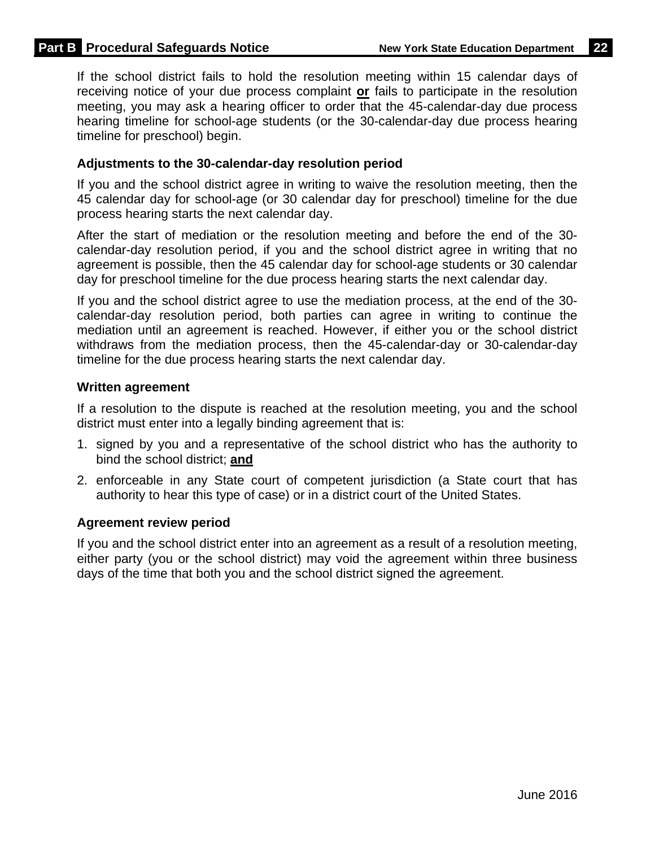If the school district fails to hold the resolution meeting within 15 calendar days of receiving notice of your due process complaint **or** fails to participate in the resolution meeting, you may ask a hearing officer to order that the 45-calendar-day due process hearing timeline for school-age students (or the 30-calendar-day due process hearing timeline for preschool) begin.

#### **Adjustments to the 30-calendar-day resolution period**

If you and the school district agree in writing to waive the resolution meeting, then the 45 calendar day for school-age (or 30 calendar day for preschool) timeline for the due process hearing starts the next calendar day.

After the start of mediation or the resolution meeting and before the end of the 30 calendar-day resolution period, if you and the school district agree in writing that no agreement is possible, then the 45 calendar day for school-age students or 30 calendar day for preschool timeline for the due process hearing starts the next calendar day.

If you and the school district agree to use the mediation process, at the end of the 30 calendar-day resolution period, both parties can agree in writing to continue the mediation until an agreement is reached. However, if either you or the school district withdraws from the mediation process, then the 45-calendar-day or 30-calendar-day timeline for the due process hearing starts the next calendar day.

#### **Written agreement**

If a resolution to the dispute is reached at the resolution meeting, you and the school district must enter into a legally binding agreement that is:

- 1. signed by you and a representative of the school district who has the authority to bind the school district; **and**
- 2. enforceable in any State court of competent jurisdiction (a State court that has authority to hear this type of case) or in a district court of the United States.

#### **Agreement review period**

If you and the school district enter into an agreement as a result of a resolution meeting, either party (you or the school district) may void the agreement within three business days of the time that both you and the school district signed the agreement.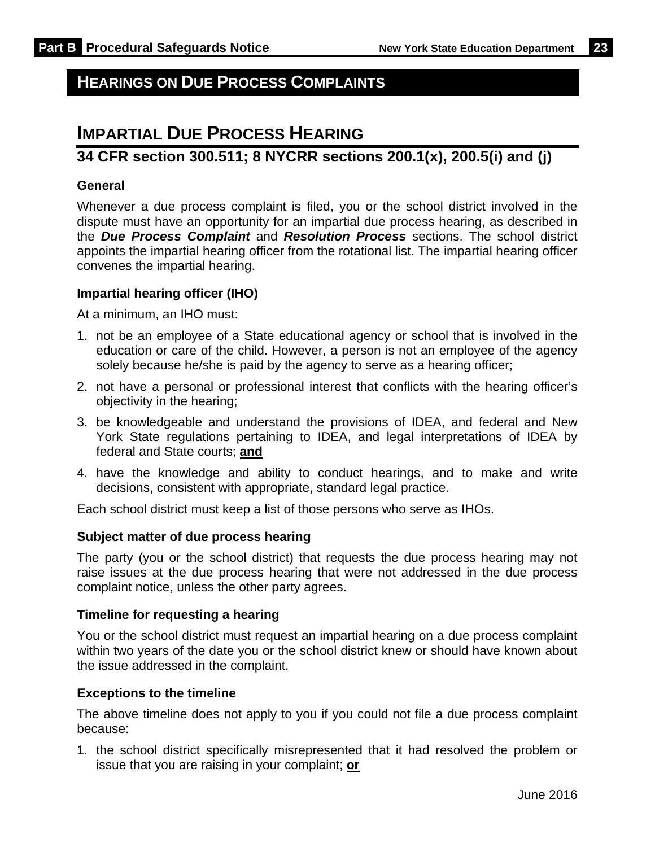# **HEARINGS ON DUE PROCESS COMPLAINTS**

# **IMPARTIAL DUE PROCESS HEARING**

### **34 CFR section 300.511; 8 NYCRR sections 200.1(x), 200.5(i) and (j)**

#### **General**

Whenever a due process complaint is filed, you or the school district involved in the dispute must have an opportunity for an impartial due process hearing, as described in the *Due Process Complaint* and *Resolution Process* sections. The school district appoints the impartial hearing officer from the rotational list. The impartial hearing officer convenes the impartial hearing.

#### **Impartial hearing officer (IHO)**

At a minimum, an IHO must:

- 1. not be an employee of a State educational agency or school that is involved in the education or care of the child. However, a person is not an employee of the agency solely because he/she is paid by the agency to serve as a hearing officer;
- 2. not have a personal or professional interest that conflicts with the hearing officer's objectivity in the hearing;
- 3. be knowledgeable and understand the provisions of IDEA, and federal and New York State regulations pertaining to IDEA, and legal interpretations of IDEA by federal and State courts; **and**
- 4. have the knowledge and ability to conduct hearings, and to make and write decisions, consistent with appropriate, standard legal practice.

Each school district must keep a list of those persons who serve as IHOs.

#### **Subject matter of due process hearing**

The party (you or the school district) that requests the due process hearing may not raise issues at the due process hearing that were not addressed in the due process complaint notice, unless the other party agrees.

#### **Timeline for requesting a hearing**

You or the school district must request an impartial hearing on a due process complaint within two years of the date you or the school district knew or should have known about the issue addressed in the complaint.

#### **Exceptions to the timeline**

The above timeline does not apply to you if you could not file a due process complaint because:

1. the school district specifically misrepresented that it had resolved the problem or issue that you are raising in your complaint; **or**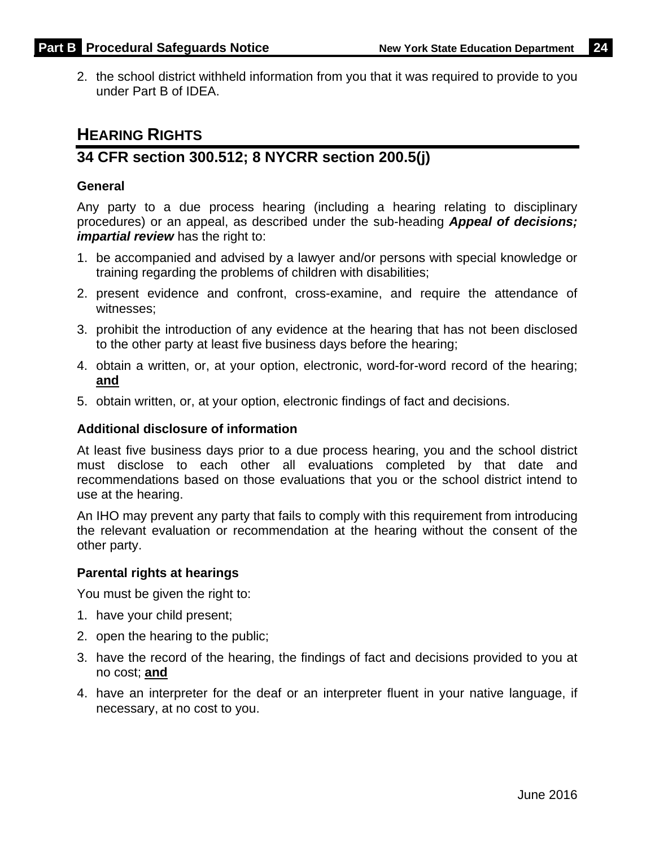2. the school district withheld information from you that it was required to provide to you under Part B of IDEA.

# **HEARING RIGHTS**

### **34 CFR section 300.512; 8 NYCRR section 200.5(j)**

#### **General**

Any party to a due process hearing (including a hearing relating to disciplinary procedures) or an appeal, as described under the sub-heading *Appeal of decisions; impartial review* has the right to:

- 1. be accompanied and advised by a lawyer and/or persons with special knowledge or training regarding the problems of children with disabilities;
- 2. present evidence and confront, cross-examine, and require the attendance of witnesses;
- 3. prohibit the introduction of any evidence at the hearing that has not been disclosed to the other party at least five business days before the hearing;
- 4. obtain a written, or, at your option, electronic, word-for-word record of the hearing; **and**
- 5. obtain written, or, at your option, electronic findings of fact and decisions.

#### **Additional disclosure of information**

At least five business days prior to a due process hearing, you and the school district must disclose to each other all evaluations completed by that date and recommendations based on those evaluations that you or the school district intend to use at the hearing.

An IHO may prevent any party that fails to comply with this requirement from introducing the relevant evaluation or recommendation at the hearing without the consent of the other party.

#### **Parental rights at hearings**

You must be given the right to:

- 1. have your child present;
- 2. open the hearing to the public;
- 3. have the record of the hearing, the findings of fact and decisions provided to you at no cost; **and**
- 4. have an interpreter for the deaf or an interpreter fluent in your native language, if necessary, at no cost to you.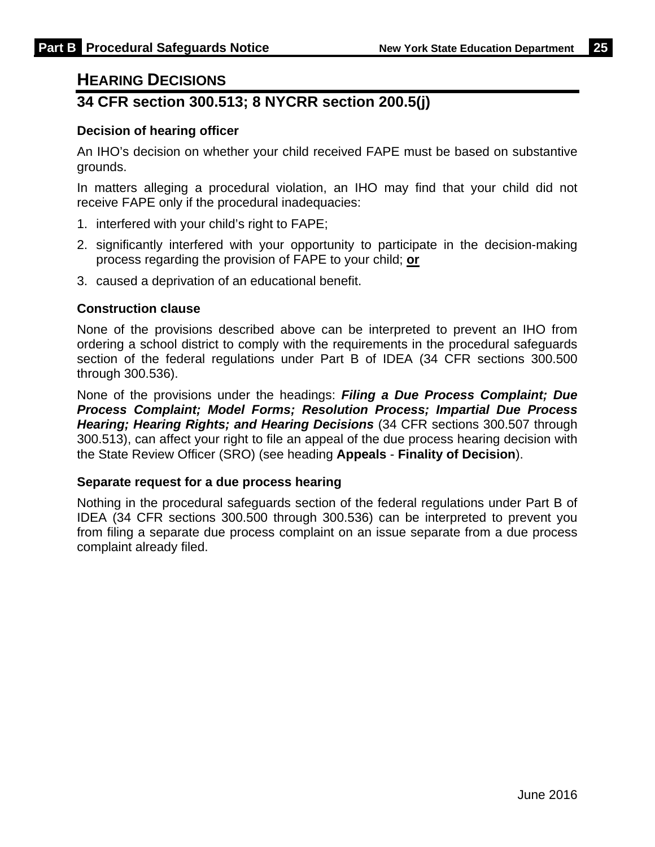### **HEARING DECISIONS**

### **34 CFR section 300.513; 8 NYCRR section 200.5(j)**

#### **Decision of hearing officer**

An IHO's decision on whether your child received FAPE must be based on substantive grounds.

In matters alleging a procedural violation, an IHO may find that your child did not receive FAPE only if the procedural inadequacies:

- 1. interfered with your child's right to FAPE;
- 2. significantly interfered with your opportunity to participate in the decision-making process regarding the provision of FAPE to your child; **or**
- 3. caused a deprivation of an educational benefit.

#### **Construction clause**

None of the provisions described above can be interpreted to prevent an IHO from ordering a school district to comply with the requirements in the procedural safeguards section of the federal regulations under Part B of IDEA (34 CFR sections 300.500 through 300.536).

None of the provisions under the headings: *Filing a Due Process Complaint; Due Process Complaint; Model Forms; Resolution Process; Impartial Due Process Hearing; Hearing Rights; and Hearing Decisions* (34 CFR sections 300.507 through 300.513), can affect your right to file an appeal of the due process hearing decision with the State Review Officer (SRO) (see heading **Appeals** - **Finality of Decision**).

#### **Separate request for a due process hearing**

Nothing in the procedural safeguards section of the federal regulations under Part B of IDEA (34 CFR sections 300.500 through 300.536) can be interpreted to prevent you from filing a separate due process complaint on an issue separate from a due process complaint already filed.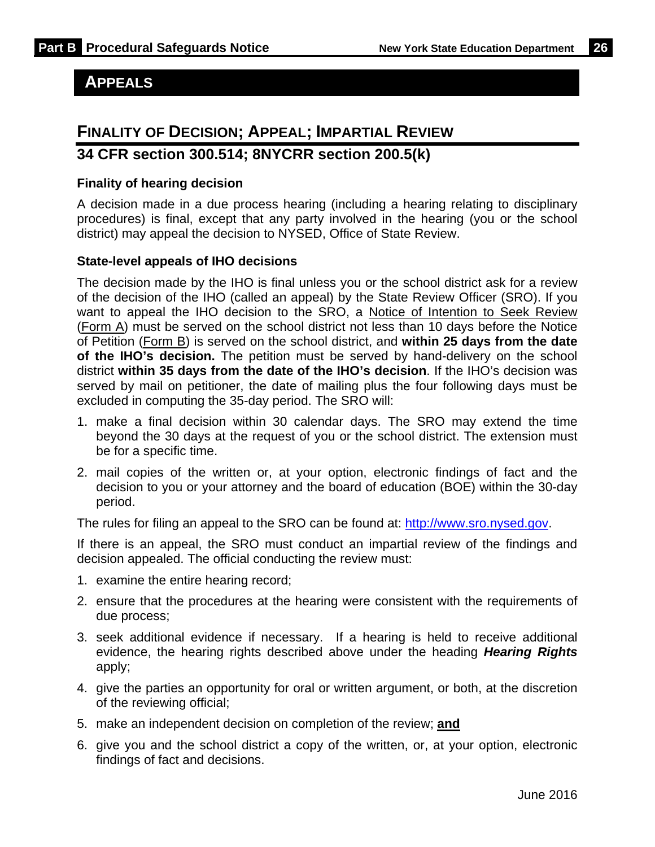### **APPEALS**

### **FINALITY OF DECISION; APPEAL; IMPARTIAL REVIEW**

### **34 CFR section 300.514; 8NYCRR section 200.5(k)**

#### **Finality of hearing decision**

A decision made in a due process hearing (including a hearing relating to disciplinary procedures) is final, except that any party involved in the hearing (you or the school district) may appeal the decision to NYSED, Office of State Review.

#### **State-level appeals of IHO decisions**

The decision made by the IHO is final unless you or the school district ask for a review of the decision of the IHO (called an appeal) by the State Review Officer (SRO). If you want to appeal the IHO decision to the SRO, a Notice of Intention to Seek Review (Form A) must be served on the school district not less than 10 days before the Notice of Petition (Form B) is served on the school district, and **within 25 days from the date of the IHO's decision.** The petition must be served by hand-delivery on the school district **within 35 days from the date of the IHO's decision**. If the IHO's decision was served by mail on petitioner, the date of mailing plus the four following days must be excluded in computing the 35-day period. The SRO will:

- 1. make a final decision within 30 calendar days. The SRO may extend the time beyond the 30 days at the request of you or the school district. The extension must be for a specific time.
- 2. mail copies of the written or, at your option, electronic findings of fact and the decision to you or your attorney and the board of education (BOE) within the 30-day period.

The rules for filing an appeal to the SRO can be found at: http://www.sro.nysed.gov.

If there is an appeal, the SRO must conduct an impartial review of the findings and decision appealed. The official conducting the review must:

- 1. examine the entire hearing record;
- 2. ensure that the procedures at the hearing were consistent with the requirements of due process;
- 3. seek additional evidence if necessary. If a hearing is held to receive additional evidence, the hearing rights described above under the heading *Hearing Rights*  apply;
- 4. give the parties an opportunity for oral or written argument, or both, at the discretion of the reviewing official;
- 5. make an independent decision on completion of the review; **and**
- 6. give you and the school district a copy of the written, or, at your option, electronic findings of fact and decisions.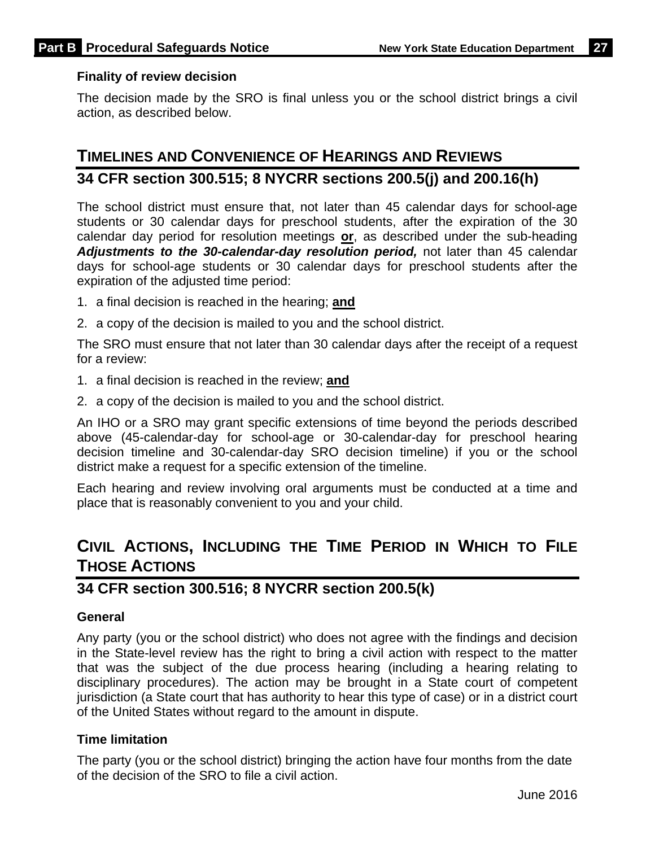#### **Finality of review decision**

The decision made by the SRO is final unless you or the school district brings a civil action, as described below.

# **TIMELINES AND CONVENIENCE OF HEARINGS AND REVIEWS 34 CFR section 300.515; 8 NYCRR sections 200.5(j) and 200.16(h)**

The school district must ensure that, not later than 45 calendar days for school-age students or 30 calendar days for preschool students, after the expiration of the 30 calendar day period for resolution meetings **or**, as described under the sub-heading *Adjustments to the 30-calendar-day resolution period,* not later than 45 calendar days for school-age students or 30 calendar days for preschool students after the expiration of the adjusted time period:

- 1. a final decision is reached in the hearing; **and**
- 2. a copy of the decision is mailed to you and the school district.

The SRO must ensure that not later than 30 calendar days after the receipt of a request for a review:

- 1. a final decision is reached in the review; **and**
- 2. a copy of the decision is mailed to you and the school district.

An IHO or a SRO may grant specific extensions of time beyond the periods described above (45-calendar-day for school-age or 30-calendar-day for preschool hearing decision timeline and 30-calendar-day SRO decision timeline) if you or the school district make a request for a specific extension of the timeline.

Each hearing and review involving oral arguments must be conducted at a time and place that is reasonably convenient to you and your child.

# **CIVIL ACTIONS, INCLUDING THE TIME PERIOD IN WHICH TO FILE THOSE ACTIONS**

### **34 CFR section 300.516; 8 NYCRR section 200.5(k)**

#### **General**

Any party (you or the school district) who does not agree with the findings and decision in the State-level review has the right to bring a civil action with respect to the matter that was the subject of the due process hearing (including a hearing relating to disciplinary procedures). The action may be brought in a State court of competent jurisdiction (a State court that has authority to hear this type of case) or in a district court of the United States without regard to the amount in dispute.

#### **Time limitation**

The party (you or the school district) bringing the action have four months from the date of the decision of the SRO to file a civil action.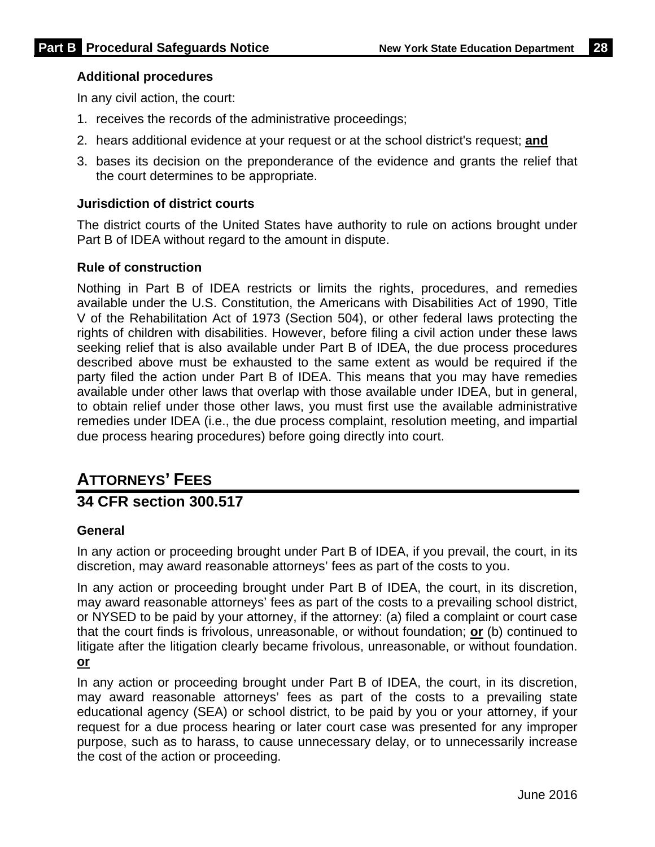#### **Additional procedures**

In any civil action, the court:

- 1. receives the records of the administrative proceedings;
- 2. hears additional evidence at your request or at the school district's request; **and**
- 3. bases its decision on the preponderance of the evidence and grants the relief that the court determines to be appropriate.

#### **Jurisdiction of district courts**

The district courts of the United States have authority to rule on actions brought under Part B of IDEA without regard to the amount in dispute.

#### **Rule of construction**

Nothing in Part B of IDEA restricts or limits the rights, procedures, and remedies available under the U.S. Constitution, the Americans with Disabilities Act of 1990, Title V of the Rehabilitation Act of 1973 (Section 504), or other federal laws protecting the rights of children with disabilities. However, before filing a civil action under these laws seeking relief that is also available under Part B of IDEA, the due process procedures described above must be exhausted to the same extent as would be required if the party filed the action under Part B of IDEA. This means that you may have remedies available under other laws that overlap with those available under IDEA, but in general, to obtain relief under those other laws, you must first use the available administrative remedies under IDEA (i.e., the due process complaint, resolution meeting, and impartial due process hearing procedures) before going directly into court.

# **ATTORNEYS' FEES**

### **34 CFR section 300.517**

#### **General**

In any action or proceeding brought under Part B of IDEA, if you prevail, the court, in its discretion, may award reasonable attorneys' fees as part of the costs to you.

In any action or proceeding brought under Part B of IDEA, the court, in its discretion, may award reasonable attorneys' fees as part of the costs to a prevailing school district, or NYSED to be paid by your attorney, if the attorney: (a) filed a complaint or court case that the court finds is frivolous, unreasonable, or without foundation; **or** (b) continued to litigate after the litigation clearly became frivolous, unreasonable, or without foundation. **or**

In any action or proceeding brought under Part B of IDEA, the court, in its discretion, may award reasonable attorneys' fees as part of the costs to a prevailing state educational agency (SEA) or school district, to be paid by you or your attorney, if your request for a due process hearing or later court case was presented for any improper purpose, such as to harass, to cause unnecessary delay, or to unnecessarily increase the cost of the action or proceeding.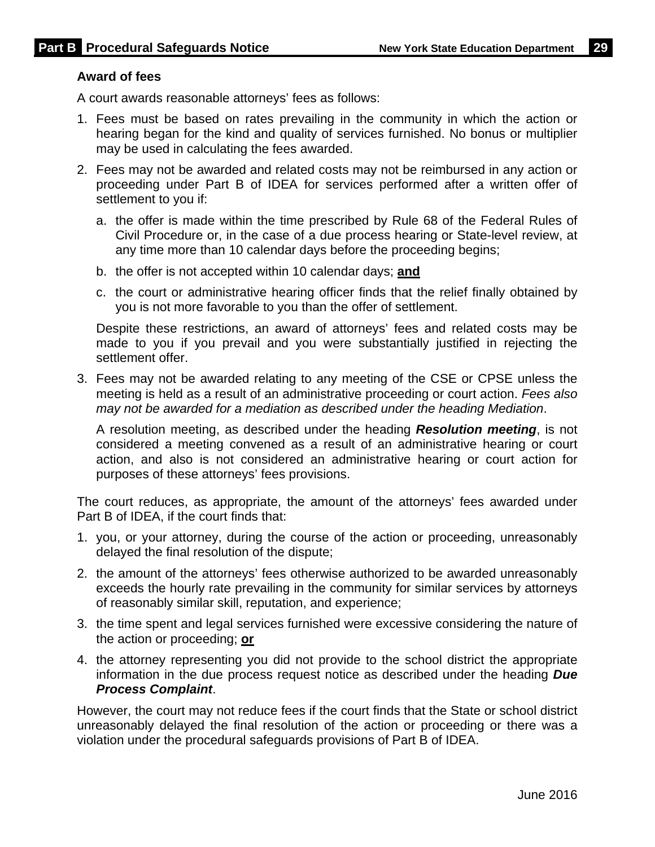#### **Award of fees**

A court awards reasonable attorneys' fees as follows:

- 1. Fees must be based on rates prevailing in the community in which the action or hearing began for the kind and quality of services furnished. No bonus or multiplier may be used in calculating the fees awarded.
- 2. Fees may not be awarded and related costs may not be reimbursed in any action or proceeding under Part B of IDEA for services performed after a written offer of settlement to you if:
	- a. the offer is made within the time prescribed by Rule 68 of the Federal Rules of Civil Procedure or, in the case of a due process hearing or State-level review, at any time more than 10 calendar days before the proceeding begins;
	- b. the offer is not accepted within 10 calendar days; **and**
	- c. the court or administrative hearing officer finds that the relief finally obtained by you is not more favorable to you than the offer of settlement.

Despite these restrictions, an award of attorneys' fees and related costs may be made to you if you prevail and you were substantially justified in rejecting the settlement offer.

3. Fees may not be awarded relating to any meeting of the CSE or CPSE unless the meeting is held as a result of an administrative proceeding or court action. *Fees also may not be awarded for a mediation as described under the heading Mediation*.

A resolution meeting, as described under the heading *Resolution meeting*, is not considered a meeting convened as a result of an administrative hearing or court action, and also is not considered an administrative hearing or court action for purposes of these attorneys' fees provisions.

The court reduces, as appropriate, the amount of the attorneys' fees awarded under Part B of IDEA, if the court finds that:

- 1. you, or your attorney, during the course of the action or proceeding, unreasonably delayed the final resolution of the dispute;
- 2. the amount of the attorneys' fees otherwise authorized to be awarded unreasonably exceeds the hourly rate prevailing in the community for similar services by attorneys of reasonably similar skill, reputation, and experience;
- 3. the time spent and legal services furnished were excessive considering the nature of the action or proceeding; **or**
- 4. the attorney representing you did not provide to the school district the appropriate information in the due process request notice as described under the heading *Due Process Complaint*.

However, the court may not reduce fees if the court finds that the State or school district unreasonably delayed the final resolution of the action or proceeding or there was a violation under the procedural safeguards provisions of Part B of IDEA.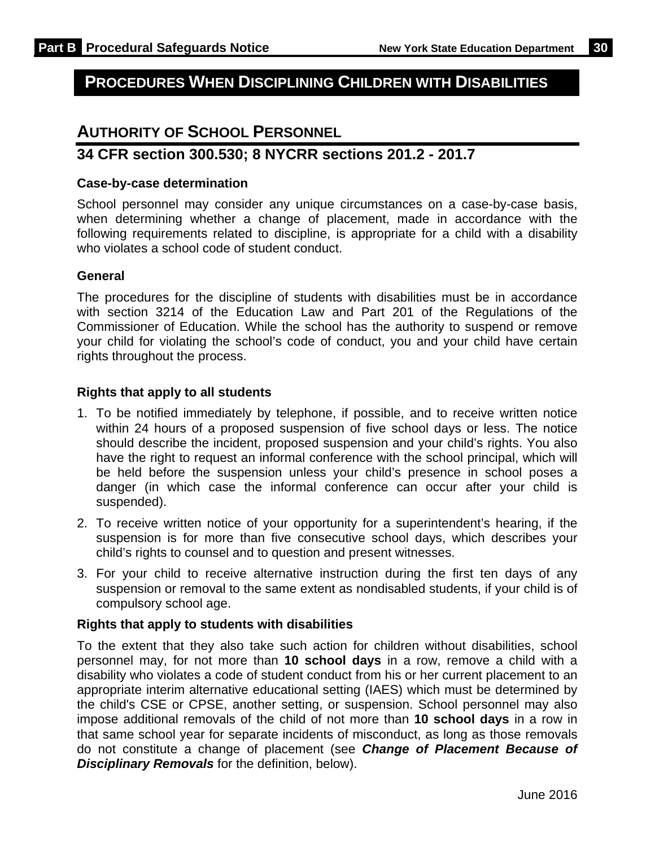# **PROCEDURES WHEN DISCIPLINING CHILDREN WITH DISABILITIES**

### **AUTHORITY OF SCHOOL PERSONNEL**

### **34 CFR section 300.530; 8 NYCRR sections 201.2 - 201.7**

#### **Case-by-case determination**

School personnel may consider any unique circumstances on a case-by-case basis, when determining whether a change of placement, made in accordance with the following requirements related to discipline, is appropriate for a child with a disability who violates a school code of student conduct.

#### **General**

The procedures for the discipline of students with disabilities must be in accordance with section 3214 of the Education Law and Part 201 of the Regulations of the Commissioner of Education. While the school has the authority to suspend or remove your child for violating the school's code of conduct, you and your child have certain rights throughout the process.

#### **Rights that apply to all students**

- 1. To be notified immediately by telephone, if possible, and to receive written notice within 24 hours of a proposed suspension of five school days or less. The notice should describe the incident, proposed suspension and your child's rights. You also have the right to request an informal conference with the school principal, which will be held before the suspension unless your child's presence in school poses a danger (in which case the informal conference can occur after your child is suspended).
- 2. To receive written notice of your opportunity for a superintendent's hearing, if the suspension is for more than five consecutive school days, which describes your child's rights to counsel and to question and present witnesses.
- 3. For your child to receive alternative instruction during the first ten days of any suspension or removal to the same extent as nondisabled students, if your child is of compulsory school age.

#### **Rights that apply to students with disabilities**

To the extent that they also take such action for children without disabilities, school personnel may, for not more than **10 school days** in a row, remove a child with a disability who violates a code of student conduct from his or her current placement to an appropriate interim alternative educational setting (IAES) which must be determined by the child's CSE or CPSE, another setting, or suspension. School personnel may also impose additional removals of the child of not more than **10 school days** in a row in that same school year for separate incidents of misconduct, as long as those removals do not constitute a change of placement (see *Change of Placement Because of Disciplinary Removals* for the definition, below).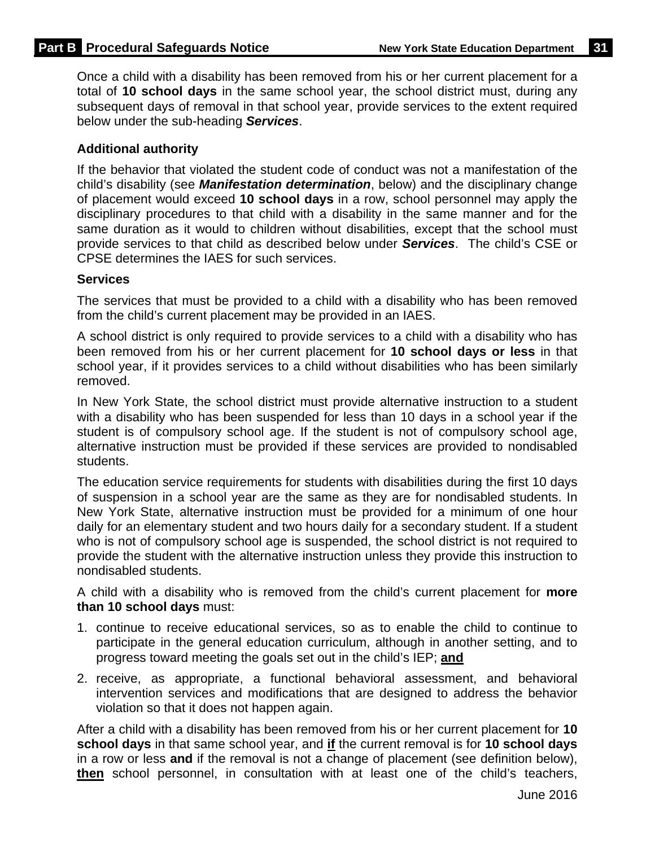Once a child with a disability has been removed from his or her current placement for a total of **10 school days** in the same school year, the school district must, during any subsequent days of removal in that school year, provide services to the extent required below under the sub-heading *Services*.

#### **Additional authority**

If the behavior that violated the student code of conduct was not a manifestation of the child's disability (see *Manifestation determination*, below) and the disciplinary change of placement would exceed **10 school days** in a row, school personnel may apply the disciplinary procedures to that child with a disability in the same manner and for the same duration as it would to children without disabilities, except that the school must provide services to that child as described below under *Services*. The child's CSE or CPSE determines the IAES for such services.

#### **Services**

The services that must be provided to a child with a disability who has been removed from the child's current placement may be provided in an IAES.

A school district is only required to provide services to a child with a disability who has been removed from his or her current placement for **10 school days or less** in that school year, if it provides services to a child without disabilities who has been similarly removed.

In New York State, the school district must provide alternative instruction to a student with a disability who has been suspended for less than 10 days in a school year if the student is of compulsory school age. If the student is not of compulsory school age, alternative instruction must be provided if these services are provided to nondisabled students.

The education service requirements for students with disabilities during the first 10 days of suspension in a school year are the same as they are for nondisabled students. In New York State, alternative instruction must be provided for a minimum of one hour daily for an elementary student and two hours daily for a secondary student. If a student who is not of compulsory school age is suspended, the school district is not required to provide the student with the alternative instruction unless they provide this instruction to nondisabled students.

A child with a disability who is removed from the child's current placement for **more than 10 school days** must:

- 1. continue to receive educational services, so as to enable the child to continue to participate in the general education curriculum, although in another setting, and to progress toward meeting the goals set out in the child's IEP; **and**
- 2. receive, as appropriate, a functional behavioral assessment, and behavioral intervention services and modifications that are designed to address the behavior violation so that it does not happen again.

After a child with a disability has been removed from his or her current placement for **10 school days** in that same school year, and **if** the current removal is for **10 school days** in a row or less **and** if the removal is not a change of placement (see definition below), **then** school personnel, in consultation with at least one of the child's teachers,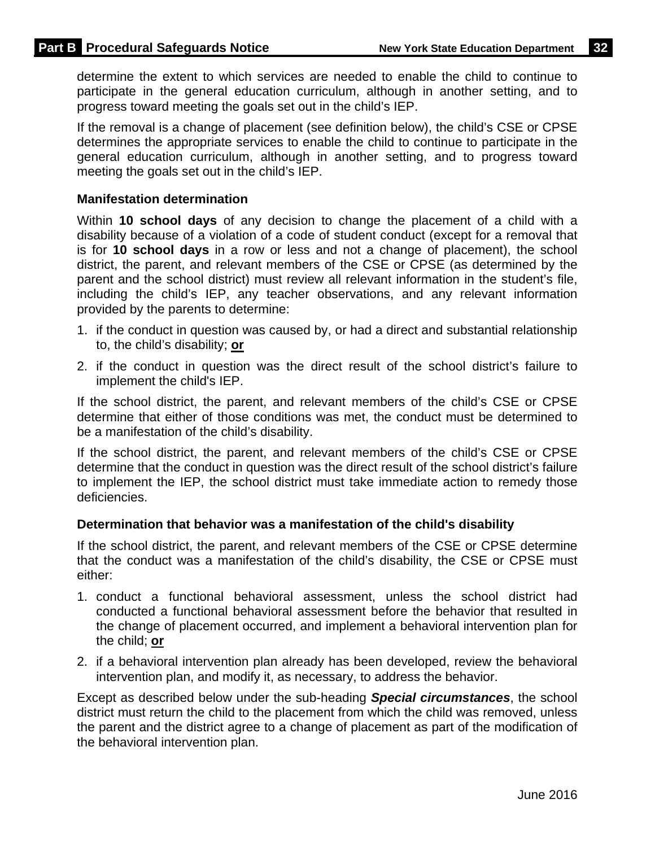determine the extent to which services are needed to enable the child to continue to participate in the general education curriculum, although in another setting, and to progress toward meeting the goals set out in the child's IEP.

If the removal is a change of placement (see definition below), the child's CSE or CPSE determines the appropriate services to enable the child to continue to participate in the general education curriculum, although in another setting, and to progress toward meeting the goals set out in the child's IEP.

#### **Manifestation determination**

Within **10 school days** of any decision to change the placement of a child with a disability because of a violation of a code of student conduct (except for a removal that is for **10 school days** in a row or less and not a change of placement), the school district, the parent, and relevant members of the CSE or CPSE (as determined by the parent and the school district) must review all relevant information in the student's file, including the child's IEP, any teacher observations, and any relevant information provided by the parents to determine:

- 1. if the conduct in question was caused by, or had a direct and substantial relationship to, the child's disability; **or**
- 2. if the conduct in question was the direct result of the school district's failure to implement the child's IEP.

If the school district, the parent, and relevant members of the child's CSE or CPSE determine that either of those conditions was met, the conduct must be determined to be a manifestation of the child's disability.

If the school district, the parent, and relevant members of the child's CSE or CPSE determine that the conduct in question was the direct result of the school district's failure to implement the IEP, the school district must take immediate action to remedy those deficiencies.

#### **Determination that behavior was a manifestation of the child's disability**

If the school district, the parent, and relevant members of the CSE or CPSE determine that the conduct was a manifestation of the child's disability, the CSE or CPSE must either:

- 1. conduct a functional behavioral assessment, unless the school district had conducted a functional behavioral assessment before the behavior that resulted in the change of placement occurred, and implement a behavioral intervention plan for the child; **or**
- 2. if a behavioral intervention plan already has been developed, review the behavioral intervention plan, and modify it, as necessary, to address the behavior.

Except as described below under the sub-heading *Special circumstances*, the school district must return the child to the placement from which the child was removed, unless the parent and the district agree to a change of placement as part of the modification of the behavioral intervention plan.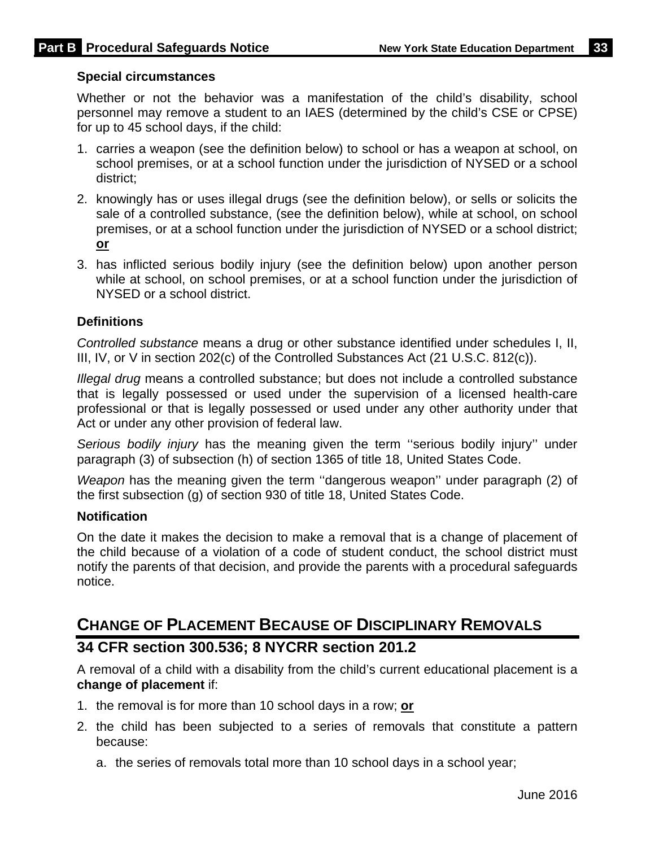#### **Special circumstances**

Whether or not the behavior was a manifestation of the child's disability, school personnel may remove a student to an IAES (determined by the child's CSE or CPSE) for up to 45 school days, if the child:

- 1. carries a weapon (see the definition below) to school or has a weapon at school, on school premises, or at a school function under the jurisdiction of NYSED or a school district;
- 2. knowingly has or uses illegal drugs (see the definition below), or sells or solicits the sale of a controlled substance, (see the definition below), while at school, on school premises, or at a school function under the jurisdiction of NYSED or a school district; **or**
- 3. has inflicted serious bodily injury (see the definition below) upon another person while at school, on school premises, or at a school function under the jurisdiction of NYSED or a school district.

#### **Definitions**

*Controlled substance* means a drug or other substance identified under schedules I, II, III, IV, or V in section 202(c) of the Controlled Substances Act (21 U.S.C. 812(c)).

*Illegal drug* means a controlled substance; but does not include a controlled substance that is legally possessed or used under the supervision of a licensed health-care professional or that is legally possessed or used under any other authority under that Act or under any other provision of federal law.

*Serious bodily injury* has the meaning given the term ''serious bodily injury'' under paragraph (3) of subsection (h) of section 1365 of title 18, United States Code.

*Weapon* has the meaning given the term "dangerous weapon" under paragraph (2) of the first subsection (g) of section 930 of title 18, United States Code.

#### **Notification**

On the date it makes the decision to make a removal that is a change of placement of the child because of a violation of a code of student conduct, the school district must notify the parents of that decision, and provide the parents with a procedural safeguards notice.

## **CHANGE OF PLACEMENT BECAUSE OF DISCIPLINARY REMOVALS**

### **34 CFR section 300.536; 8 NYCRR section 201.2**

A removal of a child with a disability from the child's current educational placement is a **change of placement** if:

- 1. the removal is for more than 10 school days in a row; **or**
- 2. the child has been subjected to a series of removals that constitute a pattern because:
	- a. the series of removals total more than 10 school days in a school year;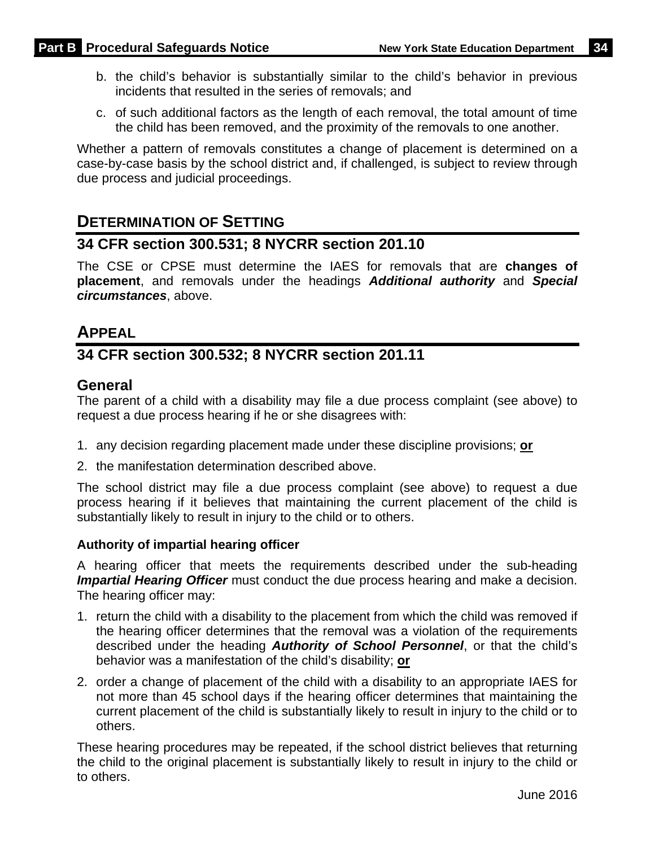- b. the child's behavior is substantially similar to the child's behavior in previous incidents that resulted in the series of removals; and
- c. of such additional factors as the length of each removal, the total amount of time the child has been removed, and the proximity of the removals to one another.

Whether a pattern of removals constitutes a change of placement is determined on a case-by-case basis by the school district and, if challenged, is subject to review through due process and judicial proceedings.

### **DETERMINATION OF SETTING**

### **34 CFR section 300.531; 8 NYCRR section 201.10**

The CSE or CPSE must determine the IAES for removals that are **changes of placement**, and removals under the headings *Additional authority* and *Special circumstances*, above.

### **APPEAL**

### **34 CFR section 300.532; 8 NYCRR section 201.11**

### **General**

The parent of a child with a disability may file a due process complaint (see above) to request a due process hearing if he or she disagrees with:

- 1. any decision regarding placement made under these discipline provisions; **or**
- 2. the manifestation determination described above.

The school district may file a due process complaint (see above) to request a due process hearing if it believes that maintaining the current placement of the child is substantially likely to result in injury to the child or to others.

#### **Authority of impartial hearing officer**

A hearing officer that meets the requirements described under the sub-heading *Impartial Hearing Officer* must conduct the due process hearing and make a decision. The hearing officer may:

- 1. return the child with a disability to the placement from which the child was removed if the hearing officer determines that the removal was a violation of the requirements described under the heading *Authority of School Personnel*, or that the child's behavior was a manifestation of the child's disability; **or**
- 2. order a change of placement of the child with a disability to an appropriate IAES for not more than 45 school days if the hearing officer determines that maintaining the current placement of the child is substantially likely to result in injury to the child or to others.

These hearing procedures may be repeated, if the school district believes that returning the child to the original placement is substantially likely to result in injury to the child or to others.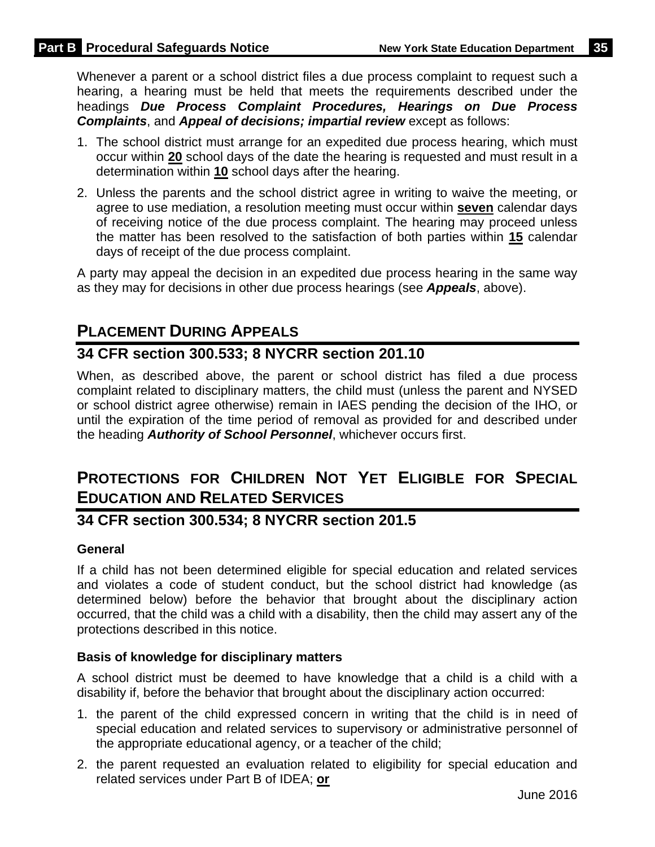Whenever a parent or a school district files a due process complaint to request such a hearing, a hearing must be held that meets the requirements described under the headings *Due Process Complaint Procedures, Hearings on Due Process Complaints*, and *Appeal of decisions; impartial review* except as follows:

- 1. The school district must arrange for an expedited due process hearing, which must occur within **20** school days of the date the hearing is requested and must result in a determination within **10** school days after the hearing.
- 2. Unless the parents and the school district agree in writing to waive the meeting, or agree to use mediation, a resolution meeting must occur within **seven** calendar days of receiving notice of the due process complaint. The hearing may proceed unless the matter has been resolved to the satisfaction of both parties within **15** calendar days of receipt of the due process complaint.

A party may appeal the decision in an expedited due process hearing in the same way as they may for decisions in other due process hearings (see *Appeals*, above).

# **PLACEMENT DURING APPEALS**

### **34 CFR section 300.533; 8 NYCRR section 201.10**

When, as described above, the parent or school district has filed a due process complaint related to disciplinary matters, the child must (unless the parent and NYSED or school district agree otherwise) remain in IAES pending the decision of the IHO, or until the expiration of the time period of removal as provided for and described under the heading *Authority of School Personnel*, whichever occurs first.

# **PROTECTIONS FOR CHILDREN NOT YET ELIGIBLE FOR SPECIAL EDUCATION AND RELATED SERVICES**

### **34 CFR section 300.534; 8 NYCRR section 201.5**

#### **General**

If a child has not been determined eligible for special education and related services and violates a code of student conduct, but the school district had knowledge (as determined below) before the behavior that brought about the disciplinary action occurred, that the child was a child with a disability, then the child may assert any of the protections described in this notice.

#### **Basis of knowledge for disciplinary matters**

A school district must be deemed to have knowledge that a child is a child with a disability if, before the behavior that brought about the disciplinary action occurred:

- 1. the parent of the child expressed concern in writing that the child is in need of special education and related services to supervisory or administrative personnel of the appropriate educational agency, or a teacher of the child;
- 2. the parent requested an evaluation related to eligibility for special education and related services under Part B of IDEA; **or**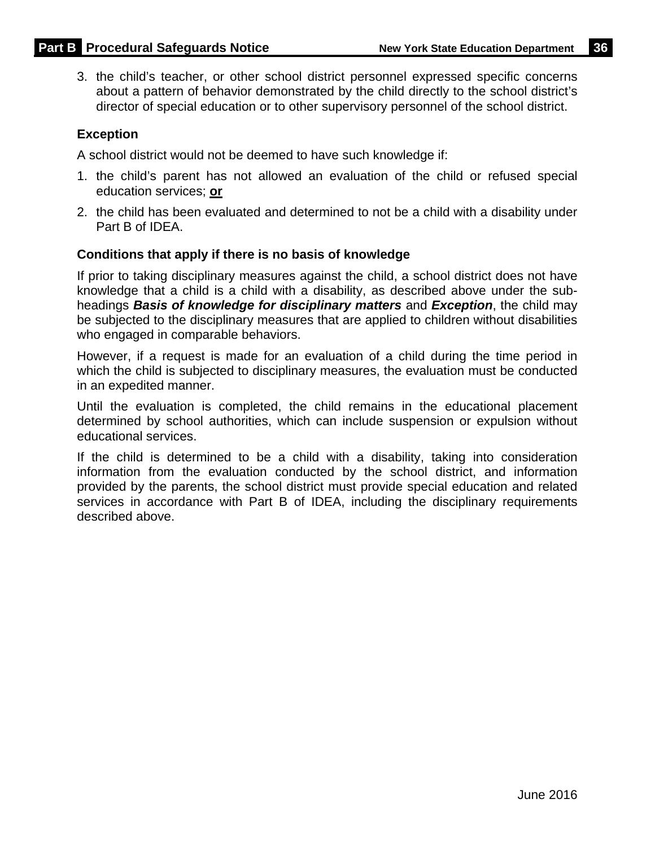3. the child's teacher, or other school district personnel expressed specific concerns about a pattern of behavior demonstrated by the child directly to the school district's director of special education or to other supervisory personnel of the school district.

#### **Exception**

A school district would not be deemed to have such knowledge if:

- 1. the child's parent has not allowed an evaluation of the child or refused special education services; **or**
- 2. the child has been evaluated and determined to not be a child with a disability under Part B of IDEA.

#### **Conditions that apply if there is no basis of knowledge**

If prior to taking disciplinary measures against the child, a school district does not have knowledge that a child is a child with a disability, as described above under the subheadings *Basis of knowledge for disciplinary matters* and *Exception*, the child may be subjected to the disciplinary measures that are applied to children without disabilities who engaged in comparable behaviors.

However, if a request is made for an evaluation of a child during the time period in which the child is subjected to disciplinary measures, the evaluation must be conducted in an expedited manner.

Until the evaluation is completed, the child remains in the educational placement determined by school authorities, which can include suspension or expulsion without educational services.

If the child is determined to be a child with a disability, taking into consideration information from the evaluation conducted by the school district, and information provided by the parents, the school district must provide special education and related services in accordance with Part B of IDEA, including the disciplinary requirements described above.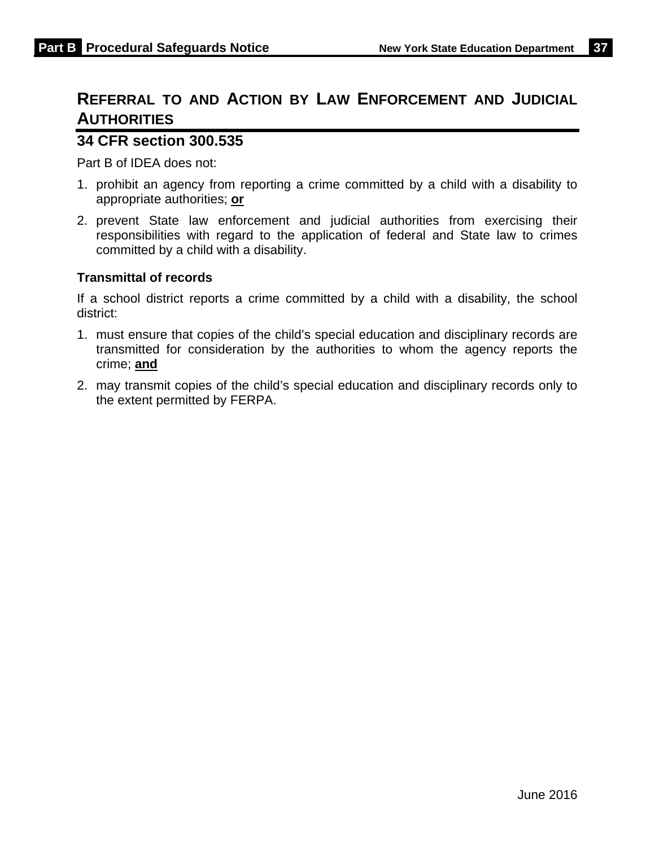# **REFERRAL TO AND ACTION BY LAW ENFORCEMENT AND JUDICIAL AUTHORITIES**

### **34 CFR section 300.535**

Part B of IDEA does not:

- 1. prohibit an agency from reporting a crime committed by a child with a disability to appropriate authorities; **or**
- 2. prevent State law enforcement and judicial authorities from exercising their responsibilities with regard to the application of federal and State law to crimes committed by a child with a disability.

#### **Transmittal of records**

If a school district reports a crime committed by a child with a disability, the school district:

- 1. must ensure that copies of the child's special education and disciplinary records are transmitted for consideration by the authorities to whom the agency reports the crime; **and**
- 2. may transmit copies of the child's special education and disciplinary records only to the extent permitted by FERPA.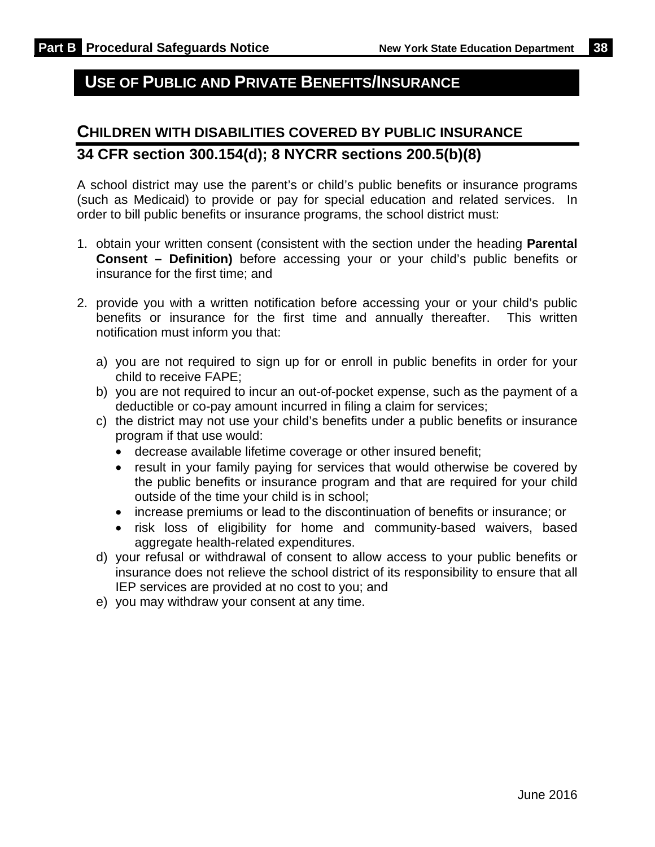# **USE OF PUBLIC AND PRIVATE BENEFITS/INSURANCE**

# **CHILDREN WITH DISABILITIES COVERED BY PUBLIC INSURANCE 34 CFR section 300.154(d); 8 NYCRR sections 200.5(b)(8)**

A school district may use the parent's or child's public benefits or insurance programs (such as Medicaid) to provide or pay for special education and related services. In order to bill public benefits or insurance programs, the school district must:

- 1. obtain your written consent (consistent with the section under the heading **Parental Consent – Definition)** before accessing your or your child's public benefits or insurance for the first time; and
- 2. provide you with a written notification before accessing your or your child's public benefits or insurance for the first time and annually thereafter. This written notification must inform you that:
	- a) you are not required to sign up for or enroll in public benefits in order for your child to receive FAPE;
	- b) you are not required to incur an out-of-pocket expense, such as the payment of a deductible or co-pay amount incurred in filing a claim for services;
	- c) the district may not use your child's benefits under a public benefits or insurance program if that use would:
		- decrease available lifetime coverage or other insured benefit;
		- result in your family paying for services that would otherwise be covered by the public benefits or insurance program and that are required for your child outside of the time your child is in school;
		- increase premiums or lead to the discontinuation of benefits or insurance; or
		- risk loss of eligibility for home and community-based waivers, based aggregate health-related expenditures.
	- d) your refusal or withdrawal of consent to allow access to your public benefits or insurance does not relieve the school district of its responsibility to ensure that all IEP services are provided at no cost to you; and
	- e) you may withdraw your consent at any time.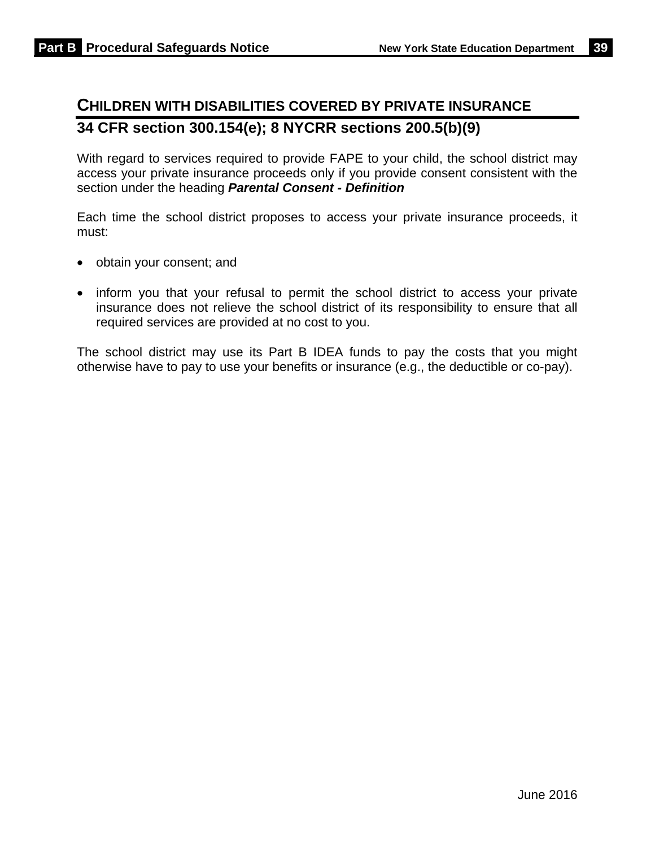# **CHILDREN WITH DISABILITIES COVERED BY PRIVATE INSURANCE 34 CFR section 300.154(e); 8 NYCRR sections 200.5(b)(9)**

With regard to services required to provide FAPE to your child, the school district may access your private insurance proceeds only if you provide consent consistent with the section under the heading *Parental Consent - Definition* 

Each time the school district proposes to access your private insurance proceeds, it must:

- obtain your consent; and
- inform you that your refusal to permit the school district to access your private insurance does not relieve the school district of its responsibility to ensure that all required services are provided at no cost to you.

The school district may use its Part B IDEA funds to pay the costs that you might otherwise have to pay to use your benefits or insurance (e.g., the deductible or co-pay).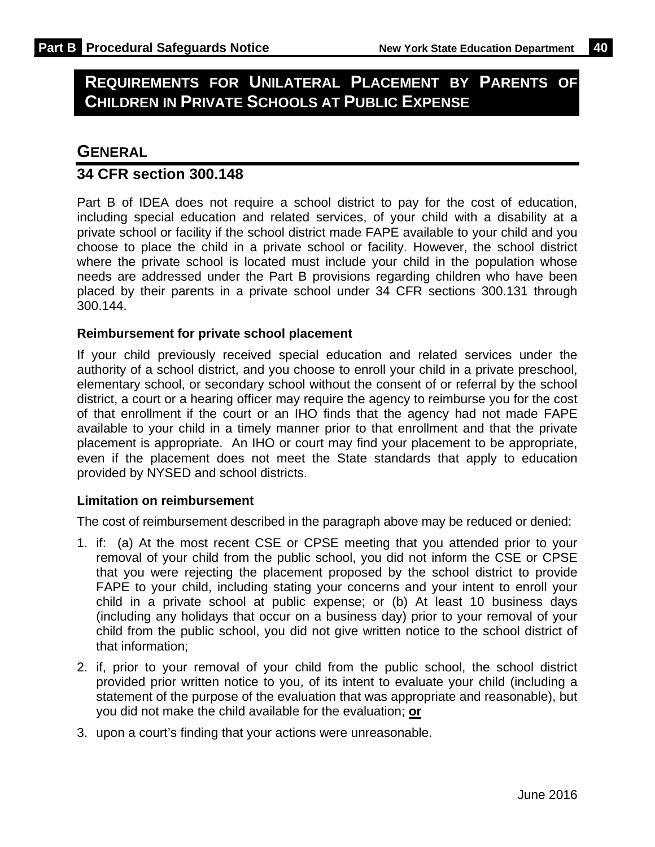# **REQUIREMENTS FOR UNILATERAL PLACEMENT BY PARENTS OF CHILDREN IN PRIVATE SCHOOLS AT PUBLIC EXPENSE**

### **GENERAL**

#### **34 CFR section 300.148**

Part B of IDEA does not require a school district to pay for the cost of education, including special education and related services, of your child with a disability at a private school or facility if the school district made FAPE available to your child and you choose to place the child in a private school or facility. However, the school district where the private school is located must include your child in the population whose needs are addressed under the Part B provisions regarding children who have been placed by their parents in a private school under 34 CFR sections 300.131 through 300.144.

#### **Reimbursement for private school placement**

If your child previously received special education and related services under the authority of a school district, and you choose to enroll your child in a private preschool, elementary school, or secondary school without the consent of or referral by the school district, a court or a hearing officer may require the agency to reimburse you for the cost of that enrollment if the court or an IHO finds that the agency had not made FAPE available to your child in a timely manner prior to that enrollment and that the private placement is appropriate. An IHO or court may find your placement to be appropriate, even if the placement does not meet the State standards that apply to education provided by NYSED and school districts.

#### **Limitation on reimbursement**

The cost of reimbursement described in the paragraph above may be reduced or denied:

- 1. if: (a) At the most recent CSE or CPSE meeting that you attended prior to your removal of your child from the public school, you did not inform the CSE or CPSE that you were rejecting the placement proposed by the school district to provide FAPE to your child, including stating your concerns and your intent to enroll your child in a private school at public expense; or (b) At least 10 business days (including any holidays that occur on a business day) prior to your removal of your child from the public school, you did not give written notice to the school district of that information;
- 2. if, prior to your removal of your child from the public school, the school district provided prior written notice to you, of its intent to evaluate your child (including a statement of the purpose of the evaluation that was appropriate and reasonable), but you did not make the child available for the evaluation; **or**
- 3. upon a court's finding that your actions were unreasonable.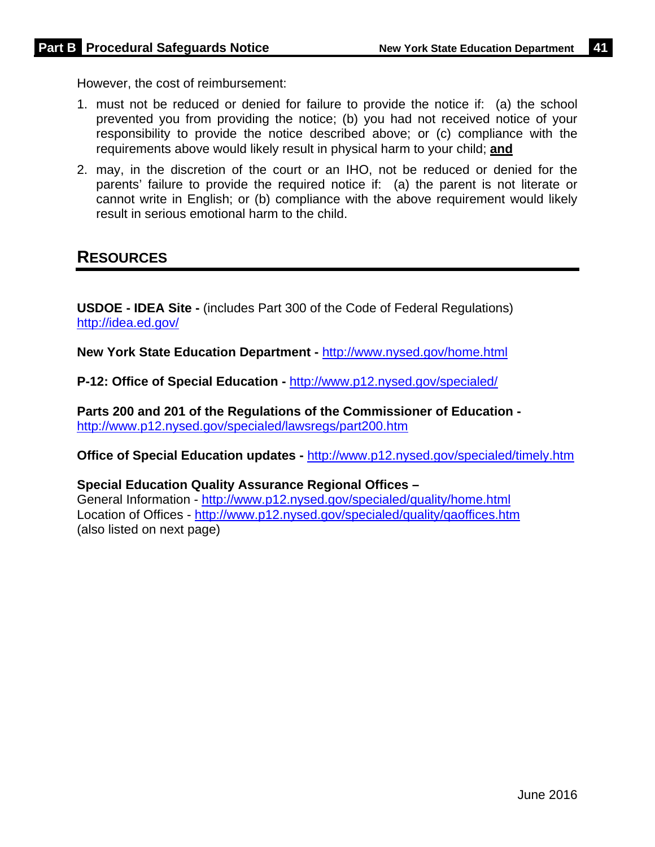However, the cost of reimbursement:

- 1. must not be reduced or denied for failure to provide the notice if: (a) the school prevented you from providing the notice; (b) you had not received notice of your responsibility to provide the notice described above; or (c) compliance with the requirements above would likely result in physical harm to your child; **and**
- 2. may, in the discretion of the court or an IHO, not be reduced or denied for the parents' failure to provide the required notice if: (a) the parent is not literate or cannot write in English; or (b) compliance with the above requirement would likely result in serious emotional harm to the child.

### **RESOURCES**

**USDOE - IDEA Site -** (includes Part 300 of the Code of Federal Regulations) http://idea.ed.gov/

**New York State Education Department -** http://www.nysed.gov/home.html

**P-12: Office of Special Education -** http://www.p12.nysed.gov/specialed/

**Parts 200 and 201 of the Regulations of the Commissioner of Education**  http://www.p12.nysed.gov/specialed/lawsregs/part200.htm

**Office of Special Education updates -** http://www.p12.nysed.gov/specialed/timely.htm

**Special Education Quality Assurance Regional Offices –**  General Information - http://www.p12.nysed.gov/specialed/quality/home.html Location of Offices - http://www.p12.nysed.gov/specialed/quality/qaoffices.htm (also listed on next page)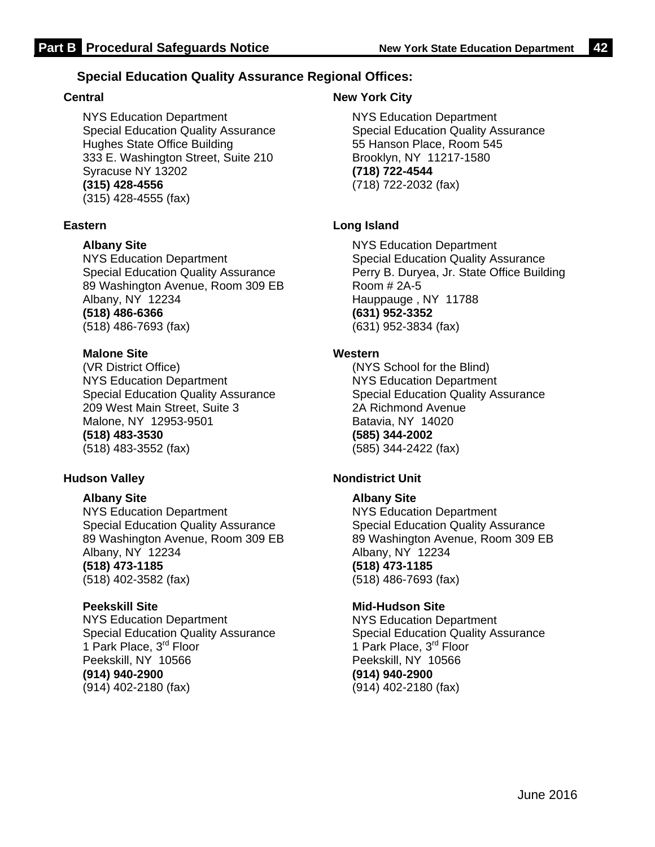#### **Special Education Quality Assurance Regional Offices:**

#### **Central**

NYS Education Department Special Education Quality Assurance Hughes State Office Building 333 E. Washington Street, Suite 210 Syracuse NY 13202 **(315) 428-4556**  (315) 428-4555 (fax)

#### **Eastern**

**Albany Site**

NYS Education Department Special Education Quality Assurance 89 Washington Avenue, Room 309 EB Albany, NY 12234 **(518) 486-6366** (518) 486-7693 (fax)

#### **Malone Site**

(VR District Office) NYS Education Department Special Education Quality Assurance 209 West Main Street, Suite 3 Malone, NY 12953-9501 **(518) 483-3530** (518) 483-3552 (fax)

#### **Hudson Valley**

#### **Albany Site**

NYS Education Department Special Education Quality Assurance 89 Washington Avenue, Room 309 EB Albany, NY 12234 **(518) 473-1185** (518) 402-3582 (fax)

#### **Peekskill Site**

NYS Education Department Special Education Quality Assurance 1 Park Place, 3<sup>rd</sup> Floor Peekskill, NY 10566 **(914) 940-2900**  (914) 402-2180 (fax)

#### **New York City**

NYS Education Department Special Education Quality Assurance 55 Hanson Place, Room 545 Brooklyn, NY 11217-1580 **(718) 722-4544** (718) 722-2032 (fax)

#### **Long Island**

NYS Education Department Special Education Quality Assurance Perry B. Duryea, Jr. State Office Building Room # 2A-5 Hauppauge , NY 11788 **(631) 952-3352** (631) 952-3834 (fax)

#### **Western**

(NYS School for the Blind) NYS Education Department Special Education Quality Assurance 2A Richmond Avenue Batavia, NY 14020 **(585) 344-2002** (585) 344-2422 (fax)

#### **Nondistrict Unit**

#### **Albany Site**

NYS Education Department Special Education Quality Assurance 89 Washington Avenue, Room 309 EB Albany, NY 12234 **(518) 473-1185** (518) 486-7693 (fax)

#### **Mid-Hudson Site**

NYS Education Department Special Education Quality Assurance 1 Park Place, 3<sup>rd</sup> Floor Peekskill, NY 10566 **(914) 940-2900**  (914) 402-2180 (fax)